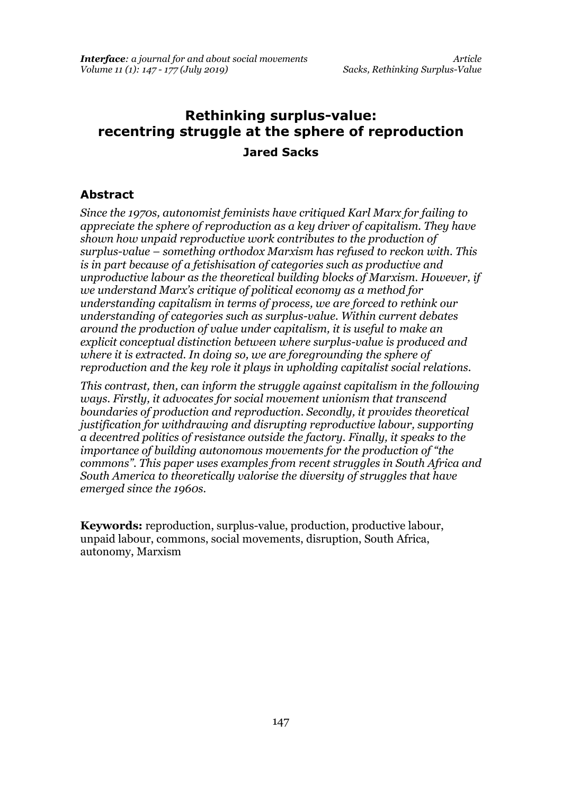# **Rethinking surplus-value: recentring struggle at the sphere of reproduction Jared Sacks**

## **Abstract**

*Since the 1970s, autonomist feminists have critiqued Karl Marx for failing to appreciate the sphere of reproduction as a key driver of capitalism. They have shown how unpaid reproductive work contributes to the production of surplus-value – something orthodox Marxism has refused to reckon with. This is in part because of a fetishisation of categories such as productive and unproductive labour as the theoretical building blocks of Marxism. However, if we understand Marx's critique of political economy as a method for understanding capitalism in terms of process, we are forced to rethink our understanding of categories such as surplus-value. Within current debates around the production of value under capitalism, it is useful to make an explicit conceptual distinction between where surplus-value is produced and where it is extracted. In doing so, we are foregrounding the sphere of reproduction and the key role it plays in upholding capitalist social relations.* 

*This contrast, then, can inform the struggle against capitalism in the following ways. Firstly, it advocates for social movement unionism that transcend boundaries of production and reproduction. Secondly, it provides theoretical justification for withdrawing and disrupting reproductive labour, supporting a decentred politics of resistance outside the factory. Finally, it speaks to the importance of building autonomous movements for the production of "the commons". This paper uses examples from recent struggles in South Africa and South America to theoretically valorise the diversity of struggles that have emerged since the 1960s.*

**Keywords:** reproduction, surplus-value, production, productive labour, unpaid labour, commons, social movements, disruption, South Africa, autonomy, Marxism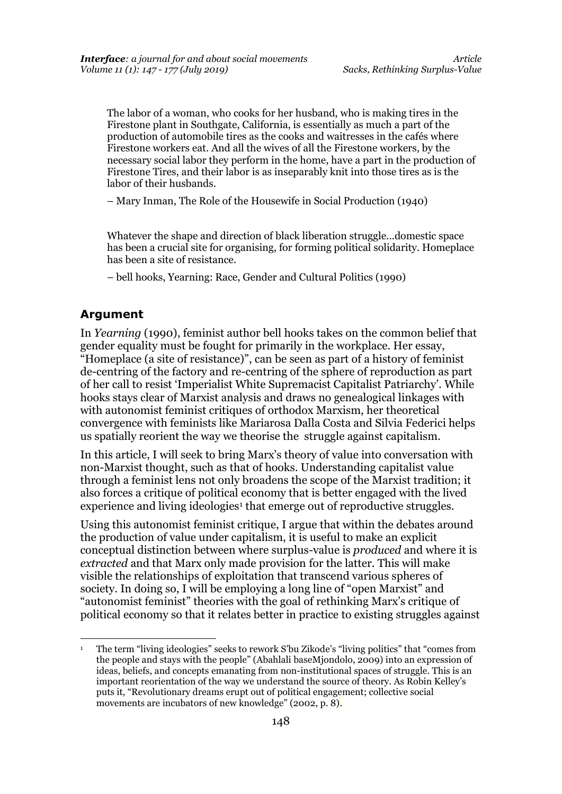The labor of a woman, who cooks for her husband, who is making tires in the Firestone plant in Southgate, California, is essentially as much a part of the production of automobile tires as the cooks and waitresses in the cafés where Firestone workers eat. And all the wives of all the Firestone workers, by the necessary social labor they perform in the home, have a part in the production of Firestone Tires, and their labor is as inseparably knit into those tires as is the labor of their husbands.

– Mary Inman, The Role of the Housewife in Social Production (1940)

Whatever the shape and direction of black liberation struggle...domestic space has been a crucial site for organising, for forming political solidarity. Homeplace has been a site of resistance.

– bell hooks, Yearning: Race, Gender and Cultural Politics (1990)

## **Argument**

In *Yearning* (1990), feminist author bell hooks takes on the common belief that gender equality must be fought for primarily in the workplace. Her essay, "Homeplace (a site of resistance)", can be seen as part of a history of feminist de-centring of the factory and re-centring of the sphere of reproduction as part of her call to resist 'Imperialist White Supremacist Capitalist Patriarchy'. While hooks stays clear of Marxist analysis and draws no genealogical linkages with with autonomist feminist critiques of orthodox Marxism, her theoretical convergence with feminists like Mariarosa Dalla Costa and Silvia Federici helps us spatially reorient the way we theorise the struggle against capitalism.

In this article, I will seek to bring Marx's theory of value into conversation with non-Marxist thought, such as that of hooks. Understanding capitalist value through a feminist lens not only broadens the scope of the Marxist tradition; it also forces a critique of political economy that is better engaged with the lived experience and living ideologies<sup>1</sup> that emerge out of reproductive struggles.

Using this autonomist feminist critique, I argue that within the debates around the production of value under capitalism, it is useful to make an explicit conceptual distinction between where surplus-value is *produced* and where it is *extracted* and that Marx only made provision for the latter. This will make visible the relationships of exploitation that transcend various spheres of society. In doing so, I will be employing a long line of "open Marxist" and "autonomist feminist" theories with the goal of rethinking Marx's critique of political economy so that it relates better in practice to existing struggles against

<sup>&</sup>lt;sup>1</sup> The term "living ideologies" seeks to rework S'bu Zikode's "living politics" that "comes from the people and stays with the people" (Abahlali baseMjondolo, 2009) into an expression of ideas, beliefs, and concepts emanating from non-institutional spaces of struggle. This is an important reorientation of the way we understand the source of theory. As Robin Kelley's puts it, "Revolutionary dreams erupt out of political engagement; collective social movements are incubators of new knowledge" (2002, p. 8).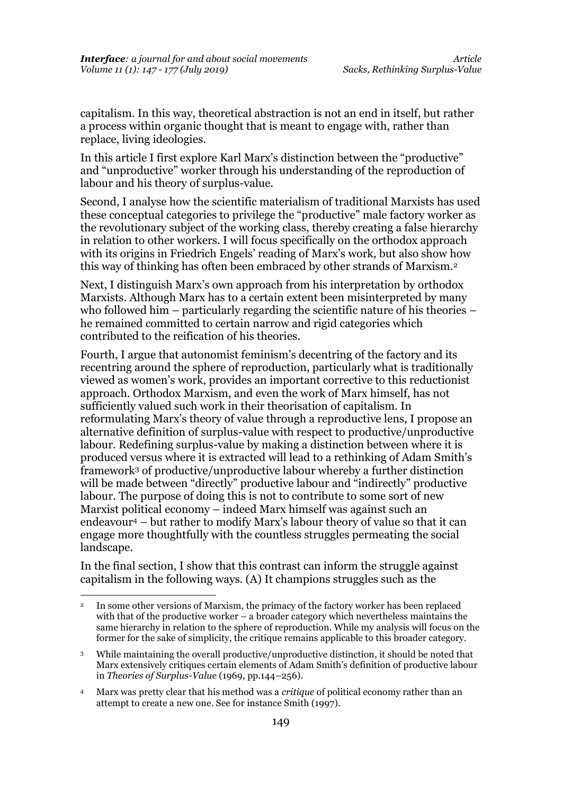capitalism. In this way, theoretical abstraction is not an end in itself, but rather a process within organic thought that is meant to engage with, rather than replace, living ideologies.

In this article I first explore Karl Marx's distinction between the "productive" and "unproductive" worker through his understanding of the reproduction of labour and his theory of surplus-value.

Second, I analyse how the scientific materialism of traditional Marxists has used these conceptual categories to privilege the "productive" male factory worker as the revolutionary subject of the working class, thereby creating a false hierarchy in relation to other workers. I will focus specifically on the orthodox approach with its origins in Friedrich Engels' reading of Marx's work, but also show how this way of thinking has often been embraced by other strands of Marxism.<sup>2</sup>

Next, I distinguish Marx's own approach from his interpretation by orthodox Marxists. Although Marx has to a certain extent been misinterpreted by many who followed him – particularly regarding the scientific nature of his theories – he remained committed to certain narrow and rigid categories which contributed to the reification of his theories.

Fourth, I argue that autonomist feminism's decentring of the factory and its recentring around the sphere of reproduction, particularly what is traditionally viewed as women's work, provides an important corrective to this reductionist approach. Orthodox Marxism, and even the work of Marx himself, has not sufficiently valued such work in their theorisation of capitalism. In reformulating Marx's theory of value through a reproductive lens, I propose an alternative definition of surplus-value with respect to productive/unproductive labour. Redefining surplus-value by making a distinction between where it is produced versus where it is extracted will lead to a rethinking of Adam Smith's framework<sup>3</sup> of productive/unproductive labour whereby a further distinction will be made between "directly" productive labour and "indirectly" productive labour. The purpose of doing this is not to contribute to some sort of new Marxist political economy – indeed Marx himself was against such an endeavour<sup>4</sup> – but rather to modify Marx's labour theory of value so that it can engage more thoughtfully with the countless struggles permeating the social landscape.

In the final section, I show that this contrast can inform the struggle against capitalism in the following ways. (A) It champions struggles such as the

<sup>&</sup>lt;sup>2</sup> In some other versions of Marxism, the primacy of the factory worker has been replaced with that of the productive worker – a broader category which nevertheless maintains the same hierarchy in relation to the sphere of reproduction. While my analysis will focus on the former for the sake of simplicity, the critique remains applicable to this broader category.

<sup>3</sup> While maintaining the overall productive/unproductive distinction, it should be noted that Marx extensively critiques certain elements of Adam Smith's definition of productive labour in *Theories of Surplus-Valu*e (1969, pp.144–256).

<sup>4</sup> Marx was pretty clear that his method was a *critique* of political economy rather than an attempt to create a new one. See for instance Smith (1997).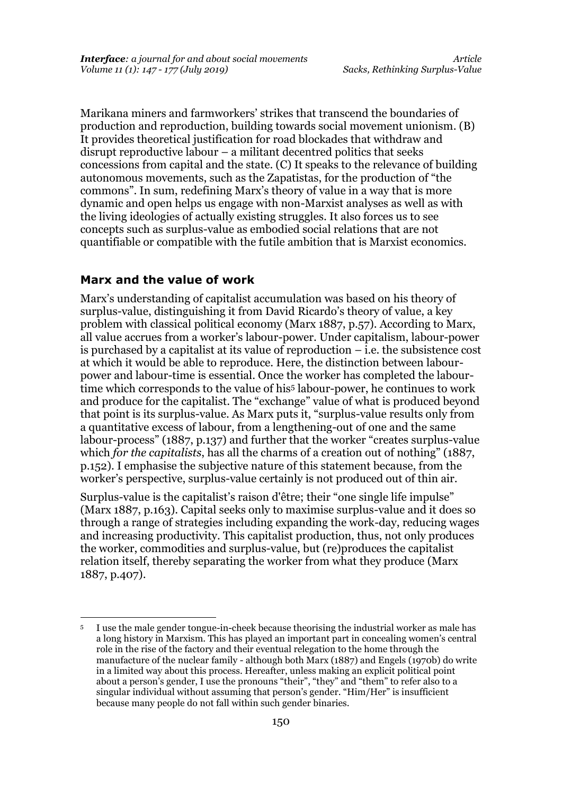Marikana miners and farmworkers' strikes that transcend the boundaries of production and reproduction, building towards social movement unionism. (B) It provides theoretical justification for road blockades that withdraw and disrupt reproductive labour – a militant decentred politics that seeks concessions from capital and the state. (C) It speaks to the relevance of building autonomous movements, such as the Zapatistas, for the production of "the commons". In sum, redefining Marx's theory of value in a way that is more dynamic and open helps us engage with non-Marxist analyses as well as with the living ideologies of actually existing struggles. It also forces us to see concepts such as surplus-value as embodied social relations that are not quantifiable or compatible with the futile ambition that is Marxist economics.

#### **Marx and the value of work**

Marx's understanding of capitalist accumulation was based on his theory of surplus-value, distinguishing it from David Ricardo's theory of value, a key problem with classical political economy (Marx 1887, p.57). According to Marx, all value accrues from a worker's labour-power. Under capitalism, labour-power is purchased by a capitalist at its value of reproduction – i.e. the subsistence cost at which it would be able to reproduce. Here, the distinction between labourpower and labour-time is essential. Once the worker has completed the labourtime which corresponds to the value of his<sup>5</sup> labour-power, he continues to work and produce for the capitalist. The "exchange" value of what is produced beyond that point is its surplus-value. As Marx puts it, "surplus-value results only from a quantitative excess of labour, from a lengthening-out of one and the same labour-process" (1887, p.137) and further that the worker "creates surplus-value which *for the capitalists*, has all the charms of a creation out of nothing" (1887, p.152). I emphasise the subjective nature of this statement because, from the worker's perspective, surplus-value certainly is not produced out of thin air.

Surplus-value is the capitalist's raison d'être; their "one single life impulse" (Marx 1887, p.163). Capital seeks only to maximise surplus-value and it does so through a range of strategies including expanding the work-day, reducing wages and increasing productivity. This capitalist production, thus, not only produces the worker, commodities and surplus-value, but (re)produces the capitalist relation itself, thereby separating the worker from what they produce (Marx 1887, p.407).

<sup>5</sup> I use the male gender tongue-in-cheek because theorising the industrial worker as male has a long history in Marxism. This has played an important part in concealing women's central role in the rise of the factory and their eventual relegation to the home through the manufacture of the nuclear family - although both Marx (1887) and Engels (1970b) do write in a limited way about this process. Hereafter, unless making an explicit political point about a person's gender, I use the pronouns "their", "they" and "them" to refer also to a singular individual without assuming that person's gender. "Him/Her" is insufficient because many people do not fall within such gender binaries.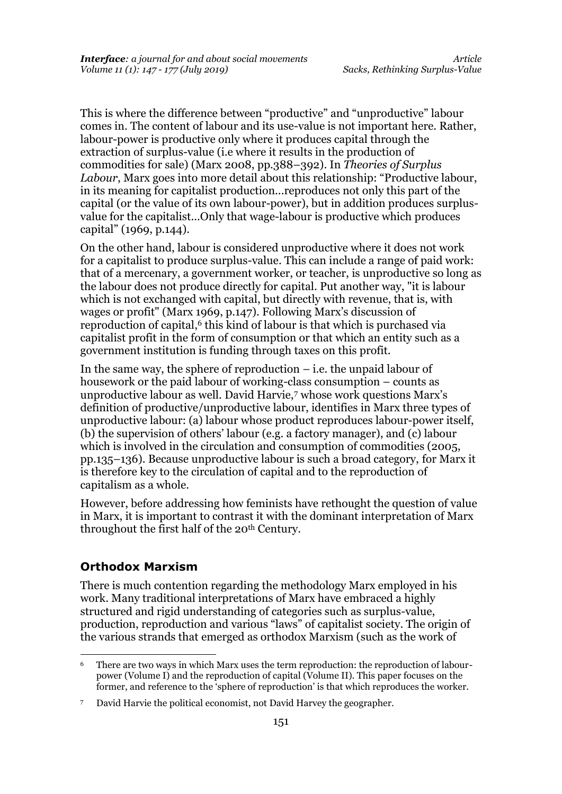This is where the difference between "productive" and "unproductive" labour comes in. The content of labour and its use-value is not important here. Rather, labour-power is productive only where it produces capital through the extraction of surplus-value (i.e where it results in the production of commodities for sale) (Marx 2008, pp.388–392). In *Theories of Surplus Labour*, Marx goes into more detail about this relationship: "Productive labour, in its meaning for capitalist production...reproduces not only this part of the capital (or the value of its own labour-power), but in addition produces surplusvalue for the capitalist...Only that wage-labour is productive which produces capital" (1969, p.144).

On the other hand, labour is considered unproductive where it does not work for a capitalist to produce surplus-value. This can include a range of paid work: that of a mercenary, a government worker, or teacher, is unproductive so long as the labour does not produce directly for capital. Put another way, "it is labour which is not exchanged with capital, but directly with revenue, that is, with wages or profit" (Marx 1969, p.147). Following Marx's discussion of reproduction of capital,<sup>6</sup> this kind of labour is that which is purchased via capitalist profit in the form of consumption or that which an entity such as a government institution is funding through taxes on this profit.

In the same way, the sphere of reproduction  $-$  i.e. the unpaid labour of housework or the paid labour of working-class consumption – counts as unproductive labour as well. David Harvie,<sup>7</sup> whose work questions Marx's definition of productive/unproductive labour, identifies in Marx three types of unproductive labour: (a) labour whose product reproduces labour-power itself, (b) the supervision of others' labour (e.g. a factory manager), and (c) labour which is involved in the circulation and consumption of commodities (2005, pp.135–136). Because unproductive labour is such a broad category, for Marx it is therefore key to the circulation of capital and to the reproduction of capitalism as a whole.

However, before addressing how feminists have rethought the question of value in Marx, it is important to contrast it with the dominant interpretation of Marx throughout the first half of the 20<sup>th</sup> Century.

## **Orthodox Marxism**

There is much contention regarding the methodology Marx employed in his work. Many traditional interpretations of Marx have embraced a highly structured and rigid understanding of categories such as surplus-value, production, reproduction and various "laws" of capitalist society. The origin of the various strands that emerged as orthodox Marxism (such as the work of

<sup>&</sup>lt;sup>6</sup> There are two ways in which Marx uses the term reproduction: the reproduction of labourpower (Volume I) and the reproduction of capital (Volume II). This paper focuses on the former, and reference to the 'sphere of reproduction' is that which reproduces the worker.

<sup>7</sup> David Harvie the political economist, not David Harvey the geographer.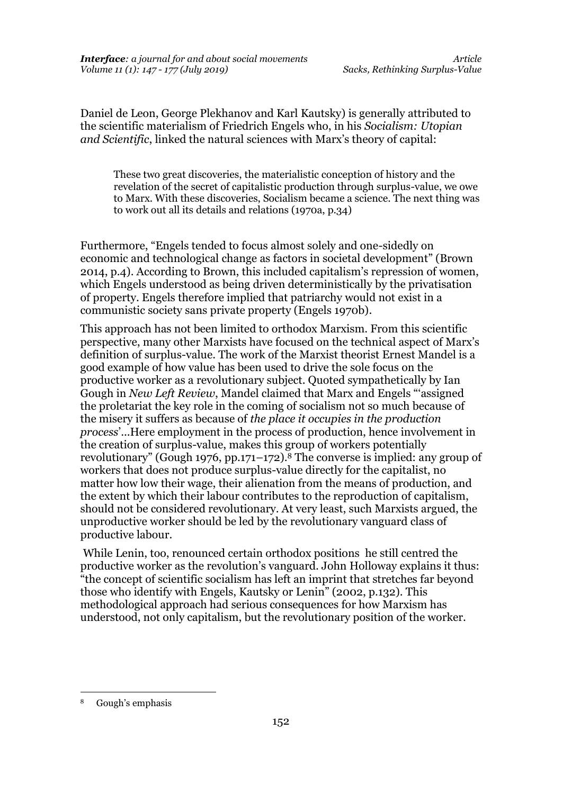Daniel de Leon, George Plekhanov and Karl Kautsky) is generally attributed to the scientific materialism of Friedrich Engels who, in his *Socialism: Utopian and Scientific*, linked the natural sciences with Marx's theory of capital:

These two great discoveries, the materialistic conception of history and the revelation of the secret of capitalistic production through surplus-value, we owe to Marx. With these discoveries, Socialism became a science. The next thing was to work out all its details and relations (1970a, p.34)

Furthermore, "Engels tended to focus almost solely and one-sidedly on economic and technological change as factors in societal development" (Brown 2014, p.4). According to Brown, this included capitalism's repression of women, which Engels understood as being driven deterministically by the privatisation of property. Engels therefore implied that patriarchy would not exist in a communistic society sans private property (Engels 1970b).

This approach has not been limited to orthodox Marxism. From this scientific perspective, many other Marxists have focused on the technical aspect of Marx's definition of surplus-value. The work of the Marxist theorist Ernest Mandel is a good example of how value has been used to drive the sole focus on the productive worker as a revolutionary subject. Quoted sympathetically by Ian Gough in *New Left Review*, Mandel claimed that Marx and Engels "'assigned the proletariat the key role in the coming of socialism not so much because of the misery it suffers as because of *the place it occupies in the production process*'...Here employment in the process of production, hence involvement in the creation of surplus-value, makes this group of workers potentially revolutionary" (Gough 1976, pp.171–172).<sup>8</sup> The converse is implied: any group of workers that does not produce surplus-value directly for the capitalist, no matter how low their wage, their alienation from the means of production, and the extent by which their labour contributes to the reproduction of capitalism, should not be considered revolutionary. At very least, such Marxists argued, the unproductive worker should be led by the revolutionary vanguard class of productive labour.

While Lenin, too, renounced certain orthodox positions he still centred the productive worker as the revolution's vanguard. John Holloway explains it thus: "the concept of scientific socialism has left an imprint that stretches far beyond those who identify with Engels, Kautsky or Lenin" (2002, p.132). This methodological approach had serious consequences for how Marxism has understood, not only capitalism, but the revolutionary position of the worker.

Gough's emphasis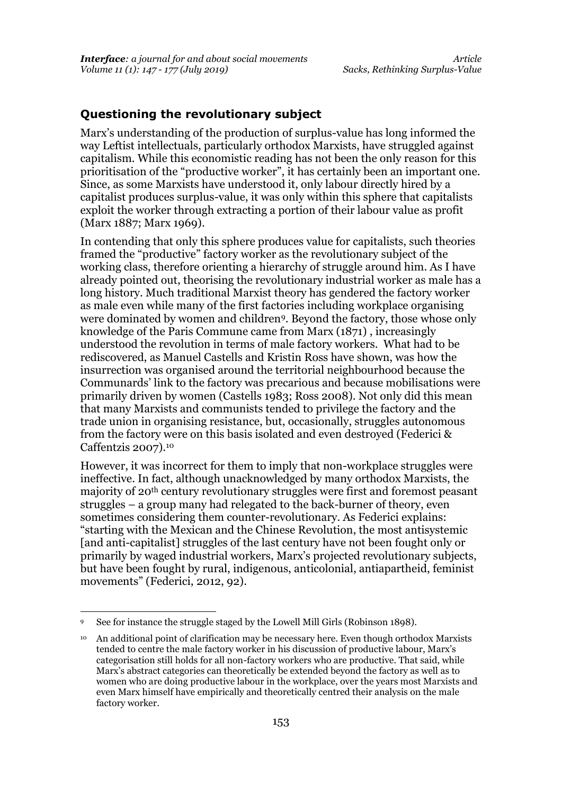#### **Questioning the revolutionary subject**

Marx's understanding of the production of surplus-value has long informed the way Leftist intellectuals, particularly orthodox Marxists, have struggled against capitalism. While this economistic reading has not been the only reason for this prioritisation of the "productive worker", it has certainly been an important one. Since, as some Marxists have understood it, only labour directly hired by a capitalist produces surplus-value, it was only within this sphere that capitalists exploit the worker through extracting a portion of their labour value as profit (Marx 1887; Marx 1969).

In contending that only this sphere produces value for capitalists, such theories framed the "productive" factory worker as the revolutionary subject of the working class, therefore orienting a hierarchy of struggle around him. As I have already pointed out, theorising the revolutionary industrial worker as male has a long history. Much traditional Marxist theory has gendered the factory worker as male even while many of the first factories including workplace organising were dominated by women and children<sup>9</sup>. Beyond the factory, those whose only knowledge of the Paris Commune came from Marx (1871) , increasingly understood the revolution in terms of male factory workers. What had to be rediscovered, as Manuel Castells and Kristin Ross have shown, was how the insurrection was organised around the territorial neighbourhood because the Communards' link to the factory was precarious and because mobilisations were primarily driven by women (Castells 1983; Ross 2008). Not only did this mean that many Marxists and communists tended to privilege the factory and the trade union in organising resistance, but, occasionally, struggles autonomous from the factory were on this basis isolated and even destroyed (Federici & Caffentzis 2007).<sup>10</sup>

However, it was incorrect for them to imply that non-workplace struggles were ineffective. In fact, although unacknowledged by many orthodox Marxists, the majority of 20th century revolutionary struggles were first and foremost peasant struggles – a group many had relegated to the back-burner of theory, even sometimes considering them counter-revolutionary. As Federici explains: "starting with the Mexican and the Chinese Revolution, the most antisystemic [and anti-capitalist] struggles of the last century have not been fought only or primarily by waged industrial workers, Marx's projected revolutionary subjects, but have been fought by rural, indigenous, anticolonial, antiapartheid, feminist movements" (Federici, 2012, 92).

<sup>9</sup> See for instance the struggle staged by the Lowell Mill Girls (Robinson 1898).

<sup>&</sup>lt;sup>10</sup> An additional point of clarification may be necessary here. Even though orthodox Marxists tended to centre the male factory worker in his discussion of productive labour, Marx's categorisation still holds for all non-factory workers who are productive. That said, while Marx's abstract categories can theoretically be extended beyond the factory as well as to women who are doing productive labour in the workplace, over the years most Marxists and even Marx himself have empirically and theoretically centred their analysis on the male factory worker.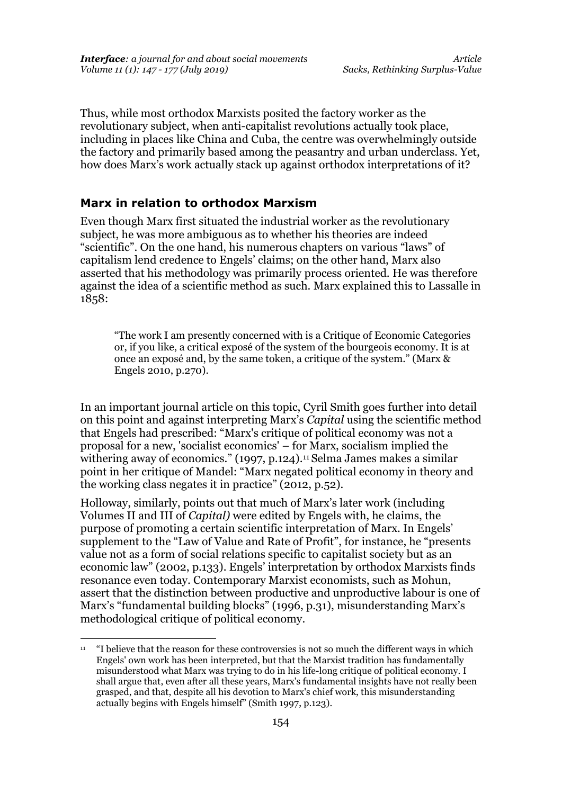Thus, while most orthodox Marxists posited the factory worker as the revolutionary subject, when anti-capitalist revolutions actually took place, including in places like China and Cuba, the centre was overwhelmingly outside the factory and primarily based among the peasantry and urban underclass. Yet, how does Marx's work actually stack up against orthodox interpretations of it?

#### **Marx in relation to orthodox Marxism**

Even though Marx first situated the industrial worker as the revolutionary subject, he was more ambiguous as to whether his theories are indeed "scientific". On the one hand, his numerous chapters on various "laws" of capitalism lend credence to Engels' claims; on the other hand, Marx also asserted that his methodology was primarily process oriented. He was therefore against the idea of a scientific method as such. Marx explained this to Lassalle in 1858:

"The work I am presently concerned with is a Critique of Economic Categories or, if you like, a critical exposé of the system of the bourgeois economy. It is at once an exposé and, by the same token, a critique of the system." (Marx & Engels 2010, p.270).

In an important journal article on this topic, Cyril Smith goes further into detail on this point and against interpreting Marx's *Capital* using the scientific method that Engels had prescribed: "Marx's critique of political economy was not a proposal for a new, 'socialist economics' – for Marx, socialism implied the withering away of economics."  $(1997, p.124)$ .<sup>11</sup> Selma James makes a similar point in her critique of Mandel: "Marx negated political economy in theory and the working class negates it in practice" (2012, p.52).

Holloway, similarly, points out that much of Marx's later work (including Volumes II and III of *Capital)* were edited by Engels with, he claims, the purpose of promoting a certain scientific interpretation of Marx. In Engels' supplement to the "Law of Value and Rate of Profit", for instance, he "presents value not as a form of social relations specific to capitalist society but as an economic law" (2002, p.133). Engels' interpretation by orthodox Marxists finds resonance even today. Contemporary Marxist economists, such as Mohun, assert that the distinction between productive and unproductive labour is one of Marx's "fundamental building blocks" (1996, p.31), misunderstanding Marx's methodological critique of political economy.

<sup>&</sup>lt;sup>11</sup> "I believe that the reason for these controversies is not so much the different ways in which Engels' own work has been interpreted, but that the Marxist tradition has fundamentally misunderstood what Marx was trying to do in his life-long critique of political economy. I shall argue that, even after all these years, Marx's fundamental insights have not really been grasped, and that, despite all his devotion to Marx's chief work, this misunderstanding actually begins with Engels himself" (Smith 1997, p.123).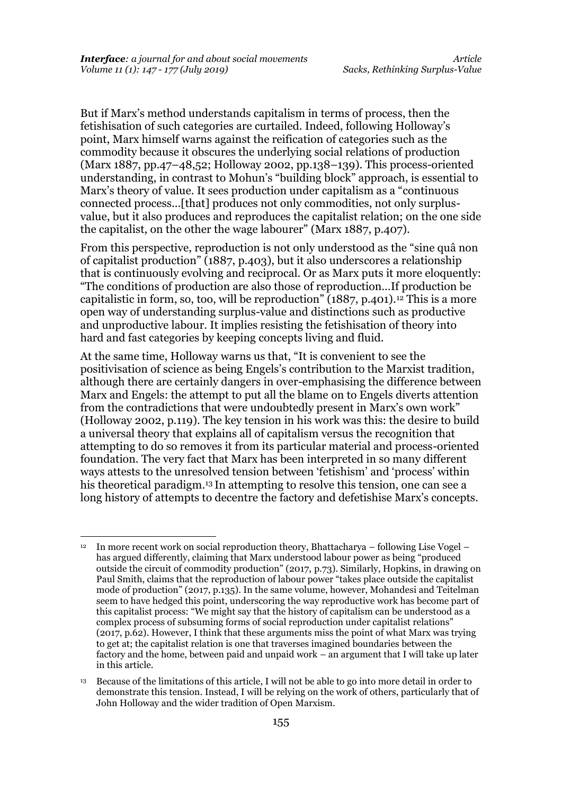But if Marx's method understands capitalism in terms of process, then the fetishisation of such categories are curtailed. Indeed, following Holloway's point, Marx himself warns against the reification of categories such as the commodity because it obscures the underlying social relations of production (Marx 1887, pp.47–48,52; Holloway 2002, pp.138–139). This process-oriented understanding, in contrast to Mohun's "building block" approach, is essential to Marx's theory of value. It sees production under capitalism as a "continuous connected process...[that] produces not only commodities, not only surplusvalue, but it also produces and reproduces the capitalist relation; on the one side the capitalist, on the other the wage labourer" (Marx 1887, p.407).

From this perspective, reproduction is not only understood as the "sine quâ non of capitalist production" (1887, p.403), but it also underscores a relationship that is continuously evolving and reciprocal. Or as Marx puts it more eloquently: "The conditions of production are also those of reproduction…If production be capitalistic in form, so, too, will be reproduction"  $(1887, p.401)$ .<sup>12</sup> This is a more open way of understanding surplus-value and distinctions such as productive and unproductive labour. It implies resisting the fetishisation of theory into hard and fast categories by keeping concepts living and fluid.

At the same time, Holloway warns us that, "It is convenient to see the positivisation of science as being Engels's contribution to the Marxist tradition, although there are certainly dangers in over-emphasising the difference between Marx and Engels: the attempt to put all the blame on to Engels diverts attention from the contradictions that were undoubtedly present in Marx's own work" (Holloway 2002, p.119). The key tension in his work was this: the desire to build a universal theory that explains all of capitalism versus the recognition that attempting to do so removes it from its particular material and process-oriented foundation. The very fact that Marx has been interpreted in so many different ways attests to the unresolved tension between 'fetishism' and 'process' within his theoretical paradigm.<sup>13</sup> In attempting to resolve this tension, one can see a long history of attempts to decentre the factory and defetishise Marx's concepts.

<sup>&</sup>lt;sup>12</sup> In more recent work on social reproduction theory, Bhattacharya – following Lise Vogel – has argued differently, claiming that Marx understood labour power as being "produced outside the circuit of commodity production" (2017, p.73). Similarly, Hopkins, in drawing on Paul Smith, claims that the reproduction of labour power "takes place outside the capitalist mode of production" (2017, p.135). In the same volume, however, Mohandesi and Teitelman seem to have hedged this point, underscoring the way reproductive work has become part of this capitalist process: "We might say that the history of capitalism can be understood as a complex process of subsuming forms of social reproduction under capitalist relations" (2017, p.62). However, I think that these arguments miss the point of what Marx was trying to get at; the capitalist relation is one that traverses imagined boundaries between the factory and the home, between paid and unpaid work – an argument that I will take up later in this article.

<sup>&</sup>lt;sup>13</sup> Because of the limitations of this article, I will not be able to go into more detail in order to demonstrate this tension. Instead, I will be relying on the work of others, particularly that of John Holloway and the wider tradition of Open Marxism.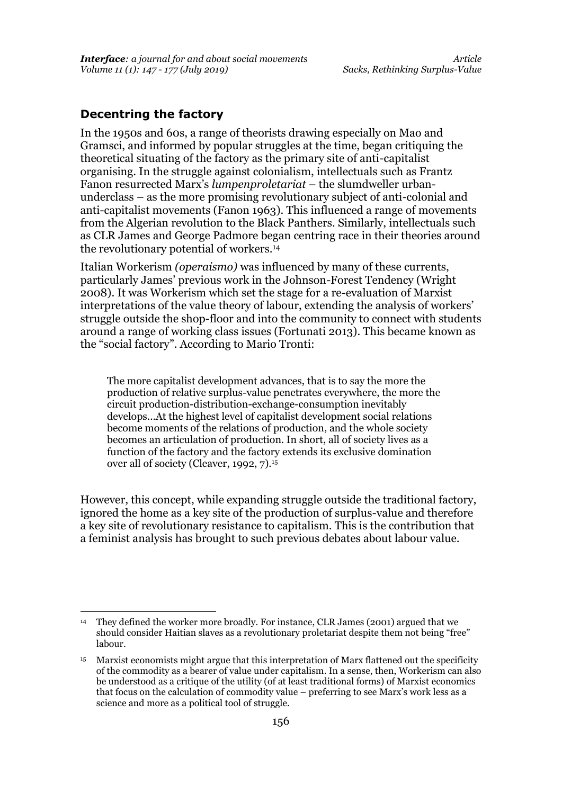# **Decentring the factory**

In the 1950s and 60s, a range of theorists drawing especially on Mao and Gramsci, and informed by popular struggles at the time, began critiquing the theoretical situating of the factory as the primary site of anti-capitalist organising. In the struggle against colonialism, intellectuals such as Frantz Fanon resurrected Marx's *lumpenproletariat* – the slumdweller urbanunderclass – as the more promising revolutionary subject of anti-colonial and anti-capitalist movements (Fanon 1963). This influenced a range of movements from the Algerian revolution to the Black Panthers. Similarly, intellectuals such as CLR James and George Padmore began centring race in their theories around the revolutionary potential of workers.<sup>14</sup>

Italian Workerism *(operaismo)* was influenced by many of these currents, particularly James' previous work in the Johnson-Forest Tendency (Wright 2008). It was Workerism which set the stage for a re-evaluation of Marxist interpretations of the value theory of labour, extending the analysis of workers' struggle outside the shop-floor and into the community to connect with students around a range of working class issues (Fortunati 2013). This became known as the "social factory". According to Mario Tronti:

The more capitalist development advances, that is to say the more the production of relative surplus-value penetrates everywhere, the more the circuit production-distribution-exchange-consumption inevitably develops...At the highest level of capitalist development social relations become moments of the relations of production, and the whole society becomes an articulation of production. In short, all of society lives as a function of the factory and the factory extends its exclusive domination over all of society (Cleaver, 1992, 7).<sup>15</sup>

However, this concept, while expanding struggle outside the traditional factory, ignored the home as a key site of the production of surplus-value and therefore a key site of revolutionary resistance to capitalism. This is the contribution that a feminist analysis has brought to such previous debates about labour value.

<sup>14</sup> They defined the worker more broadly. For instance, CLR James (2001) argued that we should consider Haitian slaves as a revolutionary proletariat despite them not being "free" labour.

<sup>&</sup>lt;sup>15</sup> Marxist economists might argue that this interpretation of Marx flattened out the specificity of the commodity as a bearer of value under capitalism. In a sense, then, Workerism can also be understood as a critique of the utility (of at least traditional forms) of Marxist economics that focus on the calculation of commodity value – preferring to see Marx's work less as a science and more as a political tool of struggle.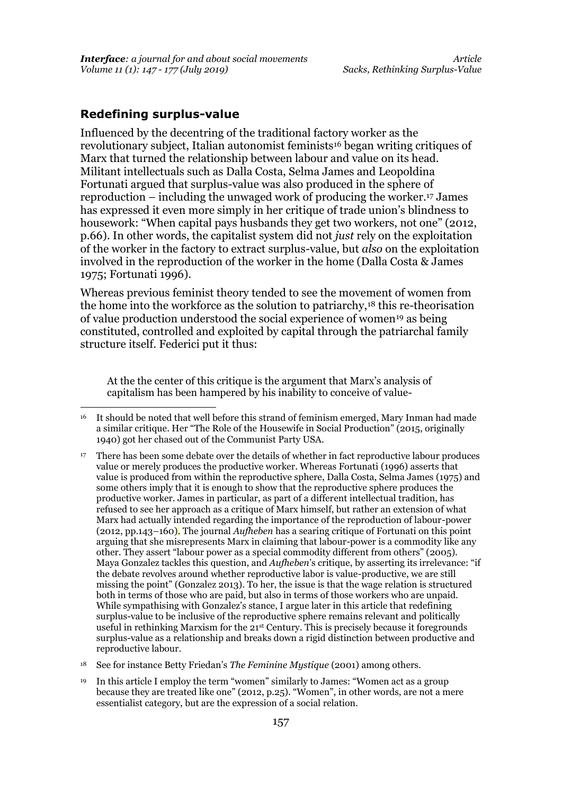#### **Redefining surplus-value**

Influenced by the decentring of the traditional factory worker as the revolutionary subject, Italian autonomist feminists<sup>16</sup> began writing critiques of Marx that turned the relationship between labour and value on its head. Militant intellectuals such as Dalla Costa, Selma James and Leopoldina Fortunati argued that surplus-value was also produced in the sphere of reproduction – including the unwaged work of producing the worker.<sup>17</sup> James has expressed it even more simply in her critique of trade union's blindness to housework: "When capital pays husbands they get two workers, not one" (2012, p.66). In other words, the capitalist system did not *just* rely on the exploitation of the worker in the factory to extract surplus-value, but *also* on the exploitation involved in the reproduction of the worker in the home (Dalla Costa & James 1975; Fortunati 1996).

Whereas previous feminist theory tended to see the movement of women from the home into the workforce as the solution to patriarchy,<sup>18</sup> this re-theorisation of value production understood the social experience of women<sup>19</sup> as being constituted, controlled and exploited by capital through the patriarchal family structure itself. Federici put it thus:

At the the center of this critique is the argument that Marx's analysis of capitalism has been hampered by his inability to conceive of value-

<sup>16</sup> It should be noted that well before this strand of feminism emerged, Mary Inman had made a similar critique. Her "The Role of the Housewife in Social Production" (2015, originally 1940) got her chased out of the Communist Party USA.

<sup>17</sup> There has been some debate over the details of whether in fact reproductive labour produces value or merely produces the productive worker. Whereas Fortunati (1996) asserts that value is produced from within the reproductive sphere, Dalla Costa, Selma James (1975) and some others imply that it is enough to show that the reproductive sphere produces the productive worker. James in particular, as part of a different intellectual tradition, has refused to see her approach as a critique of Marx himself, but rather an extension of what Marx had actually intended regarding the importance of the reproduction of labour-power (2012, pp.143–160). The journal *Aufheben* has a searing critique of Fortunati on this point arguing that she misrepresents Marx in claiming that labour-power is a commodity like any other. They assert "labour power as a special commodity different from others" (2005). Maya Gonzalez tackles this question, and *Aufheben*'s critique, by asserting its irrelevance: "if the debate revolves around whether reproductive labor is value-productive, we are still missing the point" (Gonzalez 2013). To her, the issue is that the wage relation is structured both in terms of those who are paid, but also in terms of those workers who are unpaid. While sympathising with Gonzalez's stance, I argue later in this article that redefining surplus-value to be inclusive of the reproductive sphere remains relevant and politically useful in rethinking Marxism for the 21st Century. This is precisely because it foregrounds surplus-value as a relationship and breaks down a rigid distinction between productive and reproductive labour.

<sup>18</sup> See for instance Betty Friedan's *The Feminine Mystique* (2001) among others.

<sup>19</sup> In this article I employ the term "women" similarly to James: "Women act as a group because they are treated like one" (2012, p.25). "Women", in other words, are not a mere essentialist category, but are the expression of a social relation.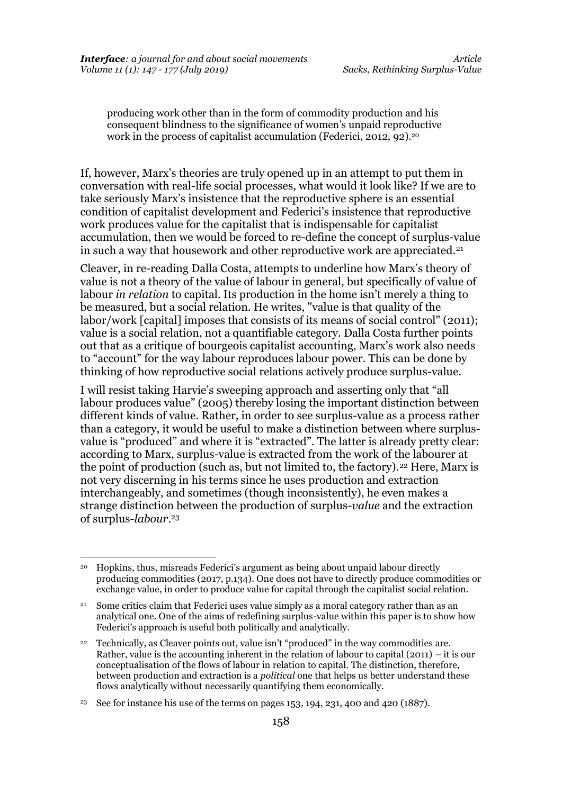producing work other than in the form of commodity production and his consequent blindness to the significance of women's unpaid reproductive work in the process of capitalist accumulation (Federici, 2012, 92).<sup>20</sup>

If, however, Marx's theories are truly opened up in an attempt to put them in conversation with real-life social processes, what would it look like? If we are to take seriously Marx's insistence that the reproductive sphere is an essential condition of capitalist development and Federici's insistence that reproductive work produces value for the capitalist that is indispensable for capitalist accumulation, then we would be forced to re-define the concept of surplus-value in such a way that housework and other reproductive work are appreciated.<sup>21</sup>

Cleaver, in re-reading Dalla Costa, attempts to underline how Marx's theory of value is not a theory of the value of labour in general, but specifically of value of labour *in relation* to capital. Its production in the home isn't merely a thing to be measured, but a social relation. He writes, "value is that quality of the labor/work [capital] imposes that consists of its means of social control" (2011); value is a social relation, not a quantifiable category. Dalla Costa further points out that as a critique of bourgeois capitalist accounting, Marx's work also needs to "account" for the way labour reproduces labour power. This can be done by thinking of how reproductive social relations actively produce surplus-value.

I will resist taking Harvie's sweeping approach and asserting only that "all labour produces value" (2005) thereby losing the important distinction between different kinds of value. Rather, in order to see surplus-value as a process rather than a category, it would be useful to make a distinction between where surplusvalue is "produced" and where it is "extracted". The latter is already pretty clear: according to Marx, surplus-value is extracted from the work of the labourer at the point of production (such as, but not limited to, the factory).<sup>22</sup> Here, Marx is not very discerning in his terms since he uses production and extraction interchangeably, and sometimes (though inconsistently), he even makes a strange distinction between the production of surplus-*value* and the extraction of surplus-*labour*. 23

<sup>20</sup> Hopkins, thus, misreads Federici's argument as being about unpaid labour directly producing commodities (2017, p.134). One does not have to directly produce commodities or exchange value, in order to produce value for capital through the capitalist social relation.

<sup>&</sup>lt;sup>21</sup> Some critics claim that Federici uses value simply as a moral category rather than as an analytical one. One of the aims of redefining surplus-value within this paper is to show how Federici's approach is useful both politically and analytically.

<sup>22</sup> Technically, as Cleaver points out, value isn't "produced" in the way commodities are. Rather, value is the accounting inherent in the relation of labour to capital (2011) – it is our conceptualisation of the flows of labour in relation to capital. The distinction, therefore, between production and extraction is a *political* one that helps us better understand these flows analytically without necessarily quantifying them economically.

<sup>&</sup>lt;sup>23</sup> See for instance his use of the terms on pages 153, 194, 231, 400 and 420 (1887).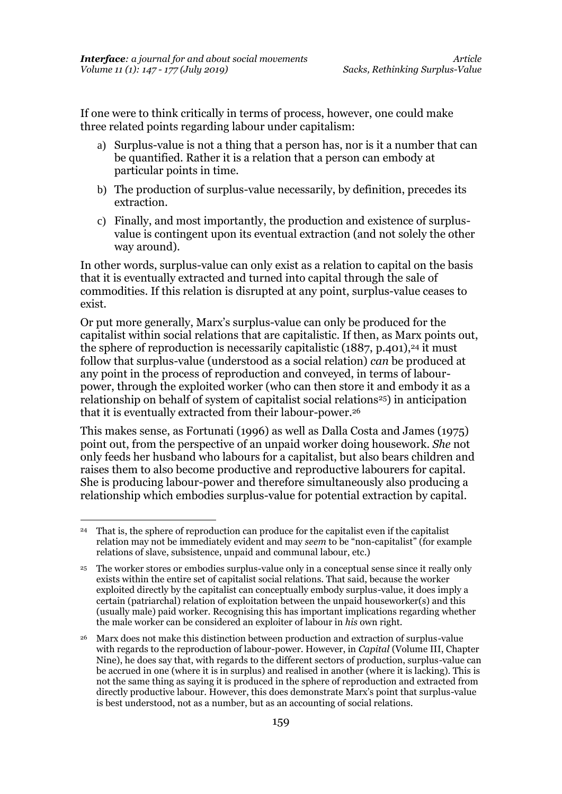If one were to think critically in terms of process, however, one could make three related points regarding labour under capitalism:

- a) Surplus-value is not a thing that a person has, nor is it a number that can be quantified. Rather it is a relation that a person can embody at particular points in time.
- b) The production of surplus-value necessarily, by definition, precedes its extraction.
- c) Finally, and most importantly, the production and existence of surplusvalue is contingent upon its eventual extraction (and not solely the other way around).

In other words, surplus-value can only exist as a relation to capital on the basis that it is eventually extracted and turned into capital through the sale of commodities. If this relation is disrupted at any point, surplus-value ceases to exist.

Or put more generally, Marx's surplus-value can only be produced for the capitalist within social relations that are capitalistic. If then, as Marx points out, the sphere of reproduction is necessarily capitalistic  $(1887, p.401)$ ,<sup>24</sup> it must follow that surplus-value (understood as a social relation) *can* be produced at any point in the process of reproduction and conveyed, in terms of labourpower, through the exploited worker (who can then store it and embody it as a relationship on behalf of system of capitalist social relations<sup>25</sup>) in anticipation that it is eventually extracted from their labour-power.<sup>26</sup>

This makes sense, as Fortunati (1996) as well as Dalla Costa and James (1975) point out, from the perspective of an unpaid worker doing housework. *She* not only feeds her husband who labours for a capitalist, but also bears children and raises them to also become productive and reproductive labourers for capital. She is producing labour-power and therefore simultaneously also producing a relationship which embodies surplus-value for potential extraction by capital.

<sup>&</sup>lt;sup>24</sup> That is, the sphere of reproduction can produce for the capitalist even if the capitalist relation may not be immediately evident and may *seem* to be "non-capitalist" (for example relations of slave, subsistence, unpaid and communal labour, etc.)

<sup>&</sup>lt;sup>25</sup> The worker stores or embodies surplus-value only in a conceptual sense since it really only exists within the entire set of capitalist social relations. That said, because the worker exploited directly by the capitalist can conceptually embody surplus-value, it does imply a certain (patriarchal) relation of exploitation between the unpaid houseworker(s) and this (usually male) paid worker. Recognising this has important implications regarding whether the male worker can be considered an exploiter of labour in *his* own right.

<sup>26</sup> Marx does not make this distinction between production and extraction of surplus-value with regards to the reproduction of labour-power. However, in *Capital* (Volume III, Chapter Nine), he does say that, with regards to the different sectors of production, surplus-value can be accrued in one (where it is in surplus) and realised in another (where it is lacking). This is not the same thing as saying it is produced in the sphere of reproduction and extracted from directly productive labour. However, this does demonstrate Marx's point that surplus-value is best understood, not as a number, but as an accounting of social relations.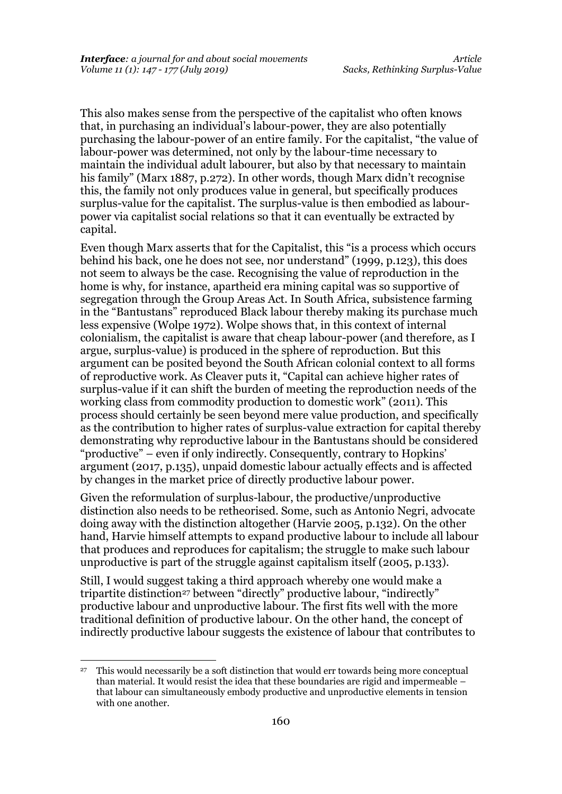This also makes sense from the perspective of the capitalist who often knows that, in purchasing an individual's labour-power, they are also potentially purchasing the labour-power of an entire family. For the capitalist, "the value of labour-power was determined, not only by the labour-time necessary to maintain the individual adult labourer, but also by that necessary to maintain his family" (Marx 1887, p.272). In other words, though Marx didn't recognise this, the family not only produces value in general, but specifically produces surplus-value for the capitalist. The surplus-value is then embodied as labourpower via capitalist social relations so that it can eventually be extracted by capital.

Even though Marx asserts that for the Capitalist, this "is a process which occurs behind his back, one he does not see, nor understand" (1999, p.123), this does not seem to always be the case. Recognising the value of reproduction in the home is why, for instance, apartheid era mining capital was so supportive of segregation through the Group Areas Act. In South Africa, subsistence farming in the "Bantustans" reproduced Black labour thereby making its purchase much less expensive (Wolpe 1972). Wolpe shows that, in this context of internal colonialism, the capitalist is aware that cheap labour-power (and therefore, as I argue, surplus-value) is produced in the sphere of reproduction. But this argument can be posited beyond the South African colonial context to all forms of reproductive work. As Cleaver puts it, "Capital can achieve higher rates of surplus-value if it can shift the burden of meeting the reproduction needs of the working class from commodity production to domestic work" (2011). This process should certainly be seen beyond mere value production, and specifically as the contribution to higher rates of surplus-value extraction for capital thereby demonstrating why reproductive labour in the Bantustans should be considered "productive" – even if only indirectly. Consequently, contrary to Hopkins' argument (2017, p.135), unpaid domestic labour actually effects and is affected by changes in the market price of directly productive labour power.

Given the reformulation of surplus-labour, the productive/unproductive distinction also needs to be retheorised. Some, such as Antonio Negri, advocate doing away with the distinction altogether (Harvie 2005, p.132). On the other hand, Harvie himself attempts to expand productive labour to include all labour that produces and reproduces for capitalism; the struggle to make such labour unproductive is part of the struggle against capitalism itself (2005, p.133).

Still, I would suggest taking a third approach whereby one would make a tripartite distinction<sup>27</sup> between "directly" productive labour, "indirectly" productive labour and unproductive labour. The first fits well with the more traditional definition of productive labour. On the other hand, the concept of indirectly productive labour suggests the existence of labour that contributes to

<sup>&</sup>lt;sup>27</sup> This would necessarily be a soft distinction that would err towards being more conceptual than material. It would resist the idea that these boundaries are rigid and impermeable – that labour can simultaneously embody productive and unproductive elements in tension with one another.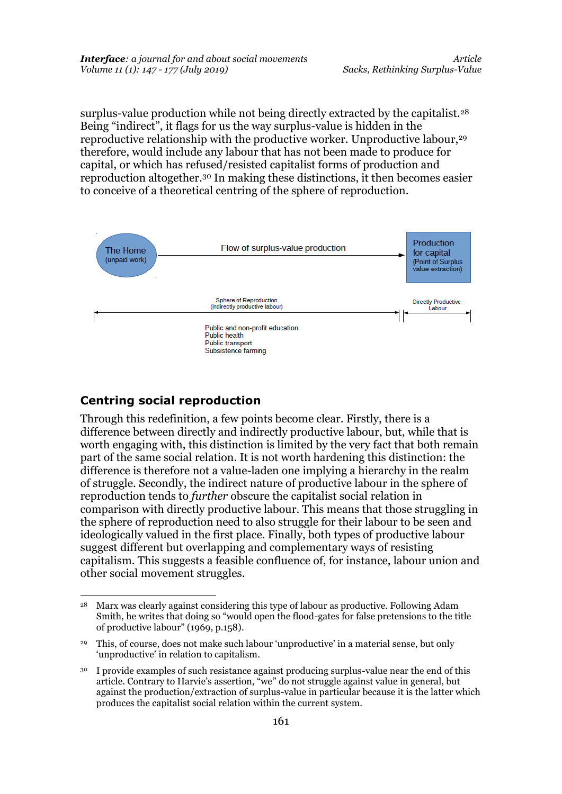surplus-value production while not being directly extracted by the capitalist.<sup>28</sup> Being "indirect", it flags for us the way surplus-value is hidden in the reproductive relationship with the productive worker. Unproductive labour,<sup>29</sup> therefore, would include any labour that has not been made to produce for capital, or which has refused/resisted capitalist forms of production and reproduction altogether.<sup>30</sup> In making these distinctions, it then becomes easier to conceive of a theoretical centring of the sphere of reproduction.



#### **Centring social reproduction**

Through this redefinition, a few points become clear. Firstly, there is a difference between directly and indirectly productive labour, but, while that is worth engaging with, this distinction is limited by the very fact that both remain part of the same social relation. It is not worth hardening this distinction: the difference is therefore not a value-laden one implying a hierarchy in the realm of struggle. Secondly, the indirect nature of productive labour in the sphere of reproduction tends to *further* obscure the capitalist social relation in comparison with directly productive labour. This means that those struggling in the sphere of reproduction need to also struggle for their labour to be seen and ideologically valued in the first place. Finally, both types of productive labour suggest different but overlapping and complementary ways of resisting capitalism. This suggests a feasible confluence of, for instance, labour union and other social movement struggles.

<sup>28</sup> Marx was clearly against considering this type of labour as productive. Following Adam Smith, he writes that doing so "would open the flood-gates for false pretensions to the title of productive labour" (1969, p.158).

<sup>29</sup> This, of course, does not make such labour 'unproductive' in a material sense, but only 'unproductive' in relation to capitalism.

<sup>&</sup>lt;sup>30</sup> I provide examples of such resistance against producing surplus-value near the end of this article. Contrary to Harvie's assertion, "we" do not struggle against value in general, but against the production/extraction of surplus-value in particular because it is the latter which produces the capitalist social relation within the current system.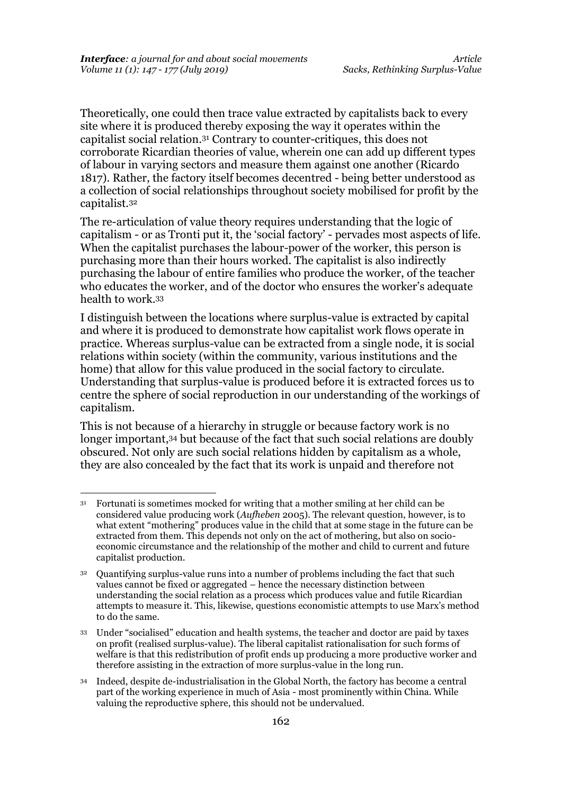Theoretically, one could then trace value extracted by capitalists back to every site where it is produced thereby exposing the way it operates within the capitalist social relation.<sup>31</sup> Contrary to counter-critiques, this does not corroborate Ricardian theories of value, wherein one can add up different types of labour in varying sectors and measure them against one another (Ricardo 1817). Rather, the factory itself becomes decentred - being better understood as a collection of social relationships throughout society mobilised for profit by the capitalist.<sup>32</sup>

The re-articulation of value theory requires understanding that the logic of capitalism - or as Tronti put it, the 'social factory' - pervades most aspects of life. When the capitalist purchases the labour-power of the worker, this person is purchasing more than their hours worked. The capitalist is also indirectly purchasing the labour of entire families who produce the worker, of the teacher who educates the worker, and of the doctor who ensures the worker's adequate health to work.<sup>33</sup>

I distinguish between the locations where surplus-value is extracted by capital and where it is produced to demonstrate how capitalist work flows operate in practice. Whereas surplus-value can be extracted from a single node, it is social relations within society (within the community, various institutions and the home) that allow for this value produced in the social factory to circulate. Understanding that surplus-value is produced before it is extracted forces us to centre the sphere of social reproduction in our understanding of the workings of capitalism.

This is not because of a hierarchy in struggle or because factory work is no longer important,<sup>34</sup> but because of the fact that such social relations are doubly obscured. Not only are such social relations hidden by capitalism as a whole, they are also concealed by the fact that its work is unpaid and therefore not

<sup>31</sup> Fortunati is sometimes mocked for writing that a mother smiling at her child can be considered value producing work (*Aufheben* 2005). The relevant question, however, is to what extent "mothering" produces value in the child that at some stage in the future can be extracted from them. This depends not only on the act of mothering, but also on socioeconomic circumstance and the relationship of the mother and child to current and future capitalist production.

<sup>32</sup> Quantifying surplus-value runs into a number of problems including the fact that such values cannot be fixed or aggregated – hence the necessary distinction between understanding the social relation as a process which produces value and futile Ricardian attempts to measure it. This, likewise, questions economistic attempts to use Marx's method to do the same.

<sup>33</sup> Under "socialised" education and health systems, the teacher and doctor are paid by taxes on profit (realised surplus-value). The liberal capitalist rationalisation for such forms of welfare is that this redistribution of profit ends up producing a more productive worker and therefore assisting in the extraction of more surplus-value in the long run.

<sup>34</sup> Indeed, despite de-industrialisation in the Global North, the factory has become a central part of the working experience in much of Asia - most prominently within China. While valuing the reproductive sphere, this should not be undervalued.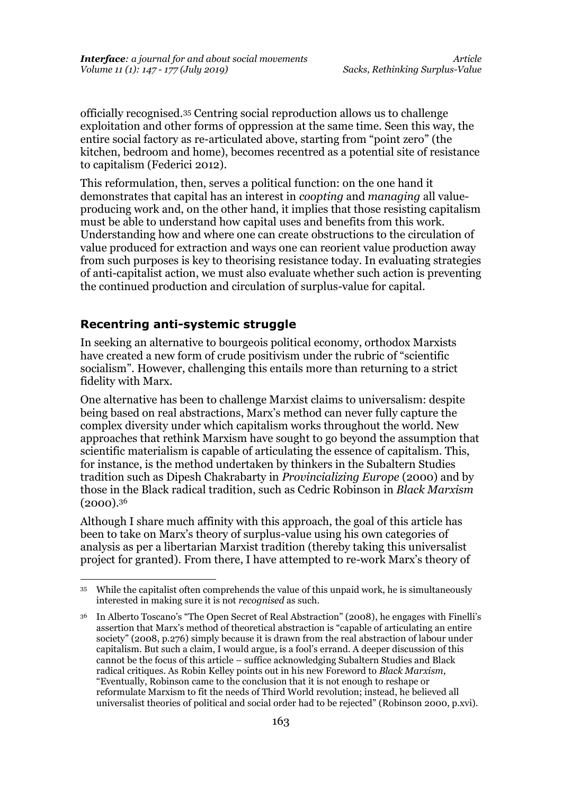officially recognised.<sup>35</sup> Centring social reproduction allows us to challenge exploitation and other forms of oppression at the same time. Seen this way, the entire social factory as re-articulated above, starting from "point zero" (the kitchen, bedroom and home), becomes recentred as a potential site of resistance to capitalism (Federici 2012).

This reformulation, then, serves a political function: on the one hand it demonstrates that capital has an interest in *coopting* and *managing* all valueproducing work and, on the other hand, it implies that those resisting capitalism must be able to understand how capital uses and benefits from this work. Understanding how and where one can create obstructions to the circulation of value produced for extraction and ways one can reorient value production away from such purposes is key to theorising resistance today. In evaluating strategies of anti-capitalist action, we must also evaluate whether such action is preventing the continued production and circulation of surplus-value for capital.

## **Recentring anti-systemic struggle**

In seeking an alternative to bourgeois political economy, orthodox Marxists have created a new form of crude positivism under the rubric of "scientific socialism". However, challenging this entails more than returning to a strict fidelity with Marx.

One alternative has been to challenge Marxist claims to universalism: despite being based on real abstractions, Marx's method can never fully capture the complex diversity under which capitalism works throughout the world. New approaches that rethink Marxism have sought to go beyond the assumption that scientific materialism is capable of articulating the essence of capitalism. This, for instance, is the method undertaken by thinkers in the Subaltern Studies tradition such as Dipesh Chakrabarty in *Provincializing Europe* (2000) and by those in the Black radical tradition, such as Cedric Robinson in *Black Marxism*   $(2000).^{36}$ 

Although I share much affinity with this approach, the goal of this article has been to take on Marx's theory of surplus-value using his own categories of analysis as per a libertarian Marxist tradition (thereby taking this universalist project for granted). From there, I have attempted to re-work Marx's theory of

<sup>35</sup> While the capitalist often comprehends the value of this unpaid work, he is simultaneously interested in making sure it is not *recognised* as such.

<sup>36</sup> In Alberto Toscano's "The Open Secret of Real Abstraction" (2008), he engages with Finelli's assertion that Marx's method of theoretical abstraction is "capable of articulating an entire society" (2008, p.276) simply because it is drawn from the real abstraction of labour under capitalism. But such a claim, I would argue, is a fool's errand. A deeper discussion of this cannot be the focus of this article – suffice acknowledging Subaltern Studies and Black radical critiques. As Robin Kelley points out in his new Foreword to *Black Marxism*, "Eventually, Robinson came to the conclusion that it is not enough to reshape or reformulate Marxism to fit the needs of Third World revolution; instead, he believed all universalist theories of political and social order had to be rejected" (Robinson 2000, p.xvi).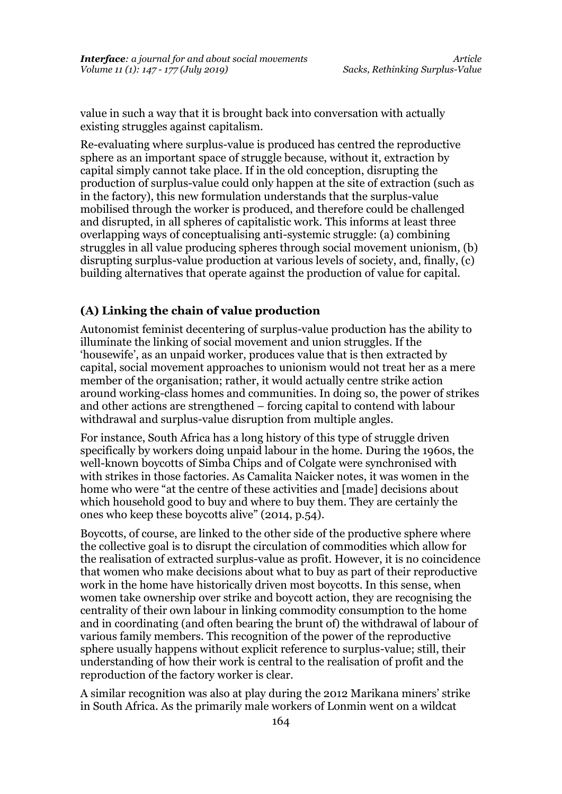value in such a way that it is brought back into conversation with actually existing struggles against capitalism.

Re-evaluating where surplus-value is produced has centred the reproductive sphere as an important space of struggle because, without it, extraction by capital simply cannot take place. If in the old conception, disrupting the production of surplus-value could only happen at the site of extraction (such as in the factory), this new formulation understands that the surplus-value mobilised through the worker is produced, and therefore could be challenged and disrupted, in all spheres of capitalistic work. This informs at least three overlapping ways of conceptualising anti-systemic struggle: (a) combining struggles in all value producing spheres through social movement unionism, (b) disrupting surplus-value production at various levels of society, and, finally, (c) building alternatives that operate against the production of value for capital.

## **(A) Linking the chain of value production**

Autonomist feminist decentering of surplus-value production has the ability to illuminate the linking of social movement and union struggles. If the 'housewife', as an unpaid worker, produces value that is then extracted by capital, social movement approaches to unionism would not treat her as a mere member of the organisation; rather, it would actually centre strike action around working-class homes and communities. In doing so, the power of strikes and other actions are strengthened – forcing capital to contend with labour withdrawal and surplus-value disruption from multiple angles.

For instance, South Africa has a long history of this type of struggle driven specifically by workers doing unpaid labour in the home. During the 1960s, the well-known boycotts of Simba Chips and of Colgate were synchronised with with strikes in those factories. As Camalita Naicker notes, it was women in the home who were "at the centre of these activities and [made] decisions about which household good to buy and where to buy them. They are certainly the ones who keep these boycotts alive" (2014, p.54).

Boycotts, of course, are linked to the other side of the productive sphere where the collective goal is to disrupt the circulation of commodities which allow for the realisation of extracted surplus-value as profit. However, it is no coincidence that women who make decisions about what to buy as part of their reproductive work in the home have historically driven most boycotts. In this sense, when women take ownership over strike and boycott action, they are recognising the centrality of their own labour in linking commodity consumption to the home and in coordinating (and often bearing the brunt of) the withdrawal of labour of various family members. This recognition of the power of the reproductive sphere usually happens without explicit reference to surplus-value; still, their understanding of how their work is central to the realisation of profit and the reproduction of the factory worker is clear.

A similar recognition was also at play during the 2012 Marikana miners' strike in South Africa. As the primarily male workers of Lonmin went on a wildcat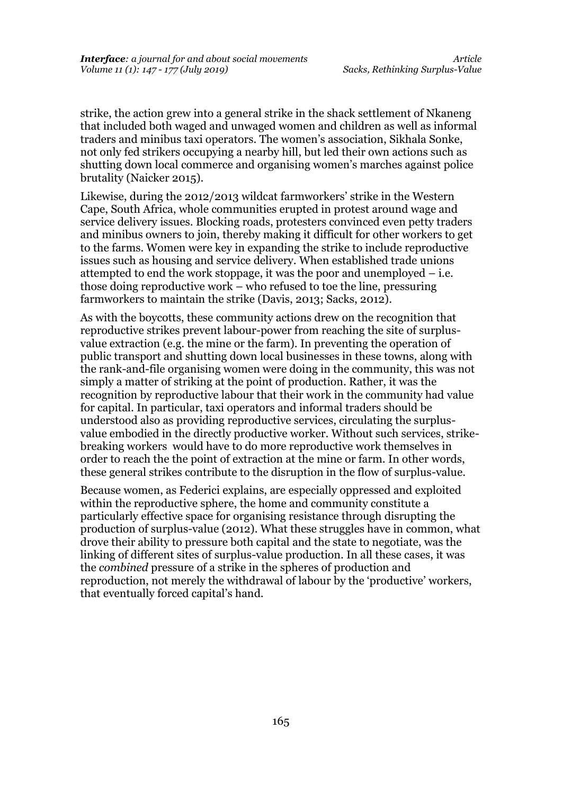strike, the action grew into a general strike in the shack settlement of Nkaneng that included both waged and unwaged women and children as well as informal traders and minibus taxi operators. The women's association, Sikhala Sonke, not only fed strikers occupying a nearby hill, but led their own actions such as shutting down local commerce and organising women's marches against police brutality (Naicker 2015).

Likewise, during the 2012/2013 wildcat farmworkers' strike in the Western Cape, South Africa, whole communities erupted in protest around wage and service delivery issues. Blocking roads, protesters convinced even petty traders and minibus owners to join, thereby making it difficult for other workers to get to the farms. Women were key in expanding the strike to include reproductive issues such as housing and service delivery. When established trade unions attempted to end the work stoppage, it was the poor and unemployed  $-$  i.e. those doing reproductive work – who refused to toe the line, pressuring farmworkers to maintain the strike (Davis, 2013; Sacks, 2012).

As with the boycotts, these community actions drew on the recognition that reproductive strikes prevent labour-power from reaching the site of surplusvalue extraction (e.g. the mine or the farm). In preventing the operation of public transport and shutting down local businesses in these towns, along with the rank-and-file organising women were doing in the community, this was not simply a matter of striking at the point of production. Rather, it was the recognition by reproductive labour that their work in the community had value for capital. In particular, taxi operators and informal traders should be understood also as providing reproductive services, circulating the surplusvalue embodied in the directly productive worker. Without such services, strikebreaking workers would have to do more reproductive work themselves in order to reach the the point of extraction at the mine or farm. In other words, these general strikes contribute to the disruption in the flow of surplus-value.

Because women, as Federici explains, are especially oppressed and exploited within the reproductive sphere, the home and community constitute a particularly effective space for organising resistance through disrupting the production of surplus-value (2012). What these struggles have in common, what drove their ability to pressure both capital and the state to negotiate, was the linking of different sites of surplus-value production. In all these cases, it was the *combined* pressure of a strike in the spheres of production and reproduction, not merely the withdrawal of labour by the 'productive' workers, that eventually forced capital's hand.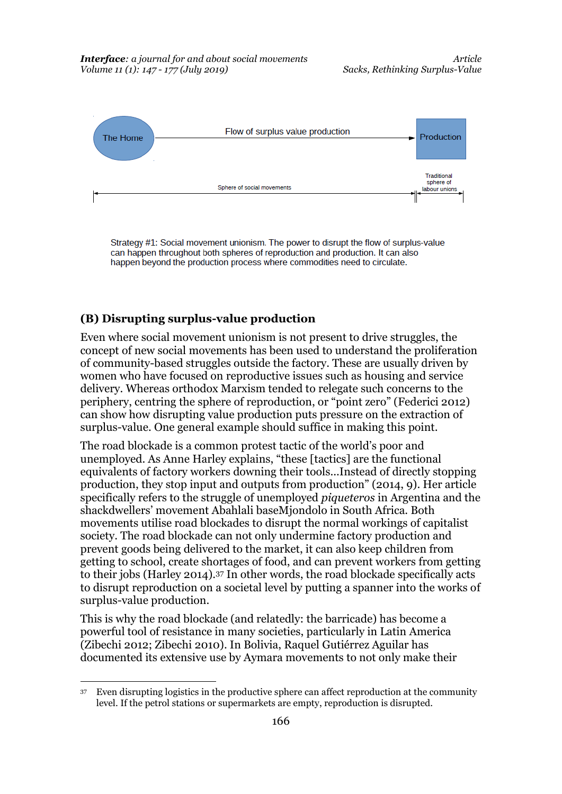

Strategy #1: Social movement unionism. The power to disrupt the flow of surplus-value can happen throughout both spheres of reproduction and production. It can also happen beyond the production process where commodities need to circulate.

#### **(B) Disrupting surplus-value production**

Even where social movement unionism is not present to drive struggles, the concept of new social movements has been used to understand the proliferation of community-based struggles outside the factory. These are usually driven by women who have focused on reproductive issues such as housing and service delivery. Whereas orthodox Marxism tended to relegate such concerns to the periphery, centring the sphere of reproduction, or "point zero" (Federici 2012) can show how disrupting value production puts pressure on the extraction of surplus-value. One general example should suffice in making this point.

The road blockade is a common protest tactic of the world's poor and unemployed. As Anne Harley explains, "these [tactics] are the functional equivalents of factory workers downing their tools...Instead of directly stopping production, they stop input and outputs from production" (2014, 9). Her article specifically refers to the struggle of unemployed *piqueteros* in Argentina and the shackdwellers' movement Abahlali baseMjondolo in South Africa. Both movements utilise road blockades to disrupt the normal workings of capitalist society. The road blockade can not only undermine factory production and prevent goods being delivered to the market, it can also keep children from getting to school, create shortages of food, and can prevent workers from getting to their jobs (Harley 2014).<sup>37</sup> In other words, the road blockade specifically acts to disrupt reproduction on a societal level by putting a spanner into the works of surplus-value production.

This is why the road blockade (and relatedly: the barricade) has become a powerful tool of resistance in many societies, particularly in Latin America (Zibechi 2012; Zibechi 2010). In Bolivia, Raquel Gutiérrez Aguilar has documented its extensive use by Aymara movements to not only make their

<sup>37</sup> Even disrupting logistics in the productive sphere can affect reproduction at the community level. If the petrol stations or supermarkets are empty, reproduction is disrupted.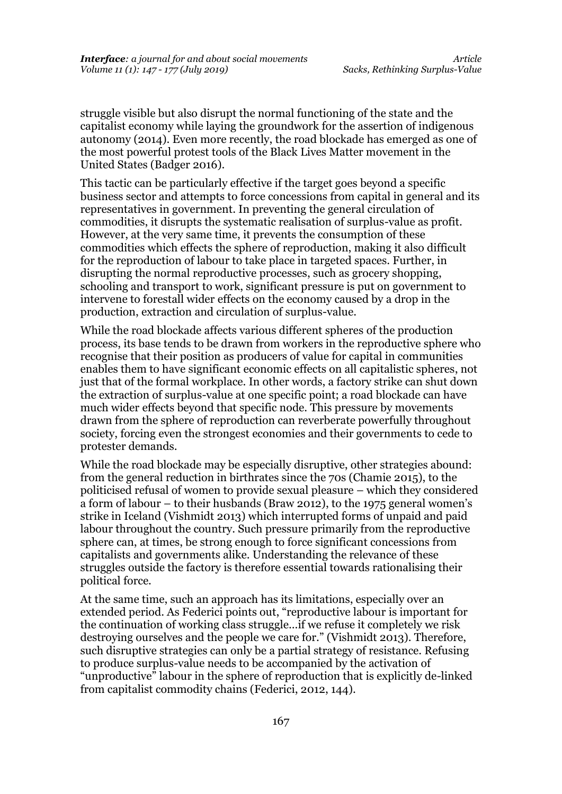struggle visible but also disrupt the normal functioning of the state and the capitalist economy while laying the groundwork for the assertion of indigenous autonomy (2014). Even more recently, the road blockade has emerged as one of the most powerful protest tools of the Black Lives Matter movement in the United States (Badger 2016).

This tactic can be particularly effective if the target goes beyond a specific business sector and attempts to force concessions from capital in general and its representatives in government. In preventing the general circulation of commodities, it disrupts the systematic realisation of surplus-value as profit. However, at the very same time, it prevents the consumption of these commodities which effects the sphere of reproduction, making it also difficult for the reproduction of labour to take place in targeted spaces. Further, in disrupting the normal reproductive processes, such as grocery shopping, schooling and transport to work, significant pressure is put on government to intervene to forestall wider effects on the economy caused by a drop in the production, extraction and circulation of surplus-value.

While the road blockade affects various different spheres of the production process, its base tends to be drawn from workers in the reproductive sphere who recognise that their position as producers of value for capital in communities enables them to have significant economic effects on all capitalistic spheres, not just that of the formal workplace. In other words, a factory strike can shut down the extraction of surplus-value at one specific point; a road blockade can have much wider effects beyond that specific node. This pressure by movements drawn from the sphere of reproduction can reverberate powerfully throughout society, forcing even the strongest economies and their governments to cede to protester demands.

While the road blockade may be especially disruptive, other strategies abound: from the general reduction in birthrates since the 70s (Chamie 2015), to the politicised refusal of women to provide sexual pleasure – which they considered a form of labour – to their husbands (Braw 2012), to the 1975 general women's strike in Iceland (Vishmidt 2013) which interrupted forms of unpaid and paid labour throughout the country. Such pressure primarily from the reproductive sphere can, at times, be strong enough to force significant concessions from capitalists and governments alike. Understanding the relevance of these struggles outside the factory is therefore essential towards rationalising their political force.

At the same time, such an approach has its limitations, especially over an extended period. As Federici points out, "reproductive labour is important for the continuation of working class struggle...if we refuse it completely we risk destroying ourselves and the people we care for." (Vishmidt 2013). Therefore, such disruptive strategies can only be a partial strategy of resistance. Refusing to produce surplus-value needs to be accompanied by the activation of "unproductive" labour in the sphere of reproduction that is explicitly de-linked from capitalist commodity chains (Federici, 2012, 144).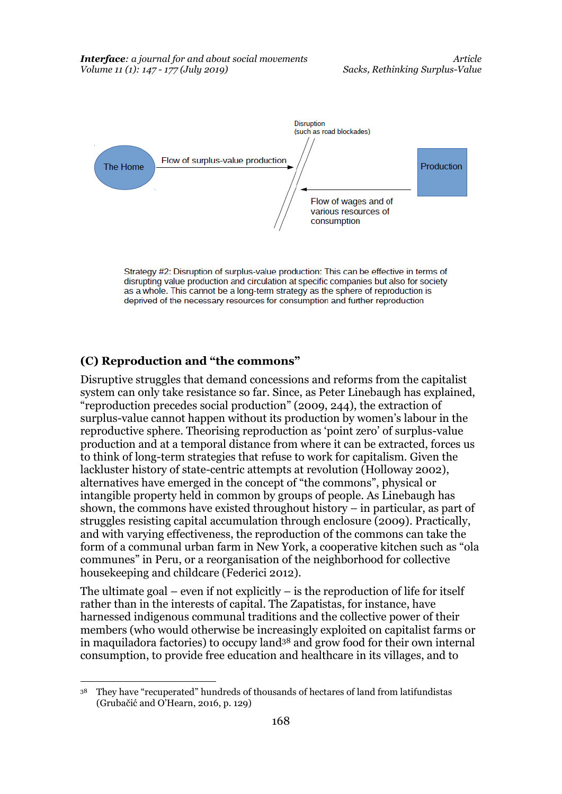

Strategy #2: Disruption of surplus-value production: This can be effective in terms of disrupting value production and circulation at specific companies but also for society as a whole. This cannot be a long-term strategy as the sphere of reproduction is deprived of the necessary resources for consumption and further reproduction

#### **(C) Reproduction and "the commons"**

Disruptive struggles that demand concessions and reforms from the capitalist system can only take resistance so far. Since, as Peter Linebaugh has explained, "reproduction precedes social production" (2009, 244), the extraction of surplus-value cannot happen without its production by women's labour in the reproductive sphere. Theorising reproduction as 'point zero' of surplus-value production and at a temporal distance from where it can be extracted, forces us to think of long-term strategies that refuse to work for capitalism. Given the lackluster history of state-centric attempts at revolution (Holloway 2002), alternatives have emerged in the concept of "the commons", physical or intangible property held in common by groups of people. As Linebaugh has shown, the commons have existed throughout history – in particular, as part of struggles resisting capital accumulation through enclosure (2009). Practically, and with varying effectiveness, the reproduction of the commons can take the form of a communal urban farm in New York, a cooperative kitchen such as "ola communes" in Peru, or a reorganisation of the neighborhood for collective housekeeping and childcare (Federici 2012).

The ultimate goal – even if not explicitly – is the reproduction of life for itself rather than in the interests of capital. The Zapatistas, for instance, have harnessed indigenous communal traditions and the collective power of their members (who would otherwise be increasingly exploited on capitalist farms or in maquiladora factories) to occupy land<sup>38</sup> and grow food for their own internal consumption, to provide free education and healthcare in its villages, and to

<sup>38</sup> They have "recuperated" hundreds of thousands of hectares of land from latifundistas (Grubačić and O'Hearn, 2016, p. 129)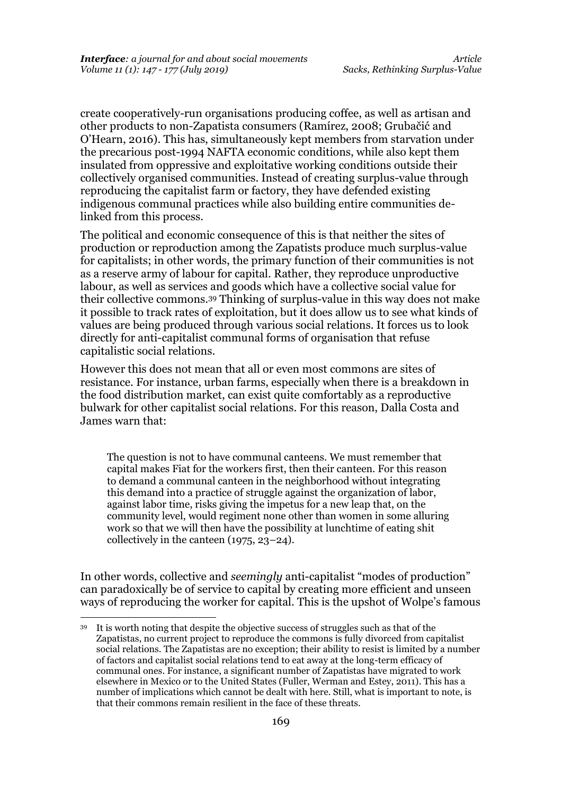create cooperatively-run organisations producing coffee, as well as artisan and other products to non-Zapatista consumers (Ramírez, 2008; Grubačić and O'Hearn, 2016). This has, simultaneously kept members from starvation under the precarious post-1994 NAFTA economic conditions, while also kept them insulated from oppressive and exploitative working conditions outside their collectively organised communities. Instead of creating surplus-value through reproducing the capitalist farm or factory, they have defended existing indigenous communal practices while also building entire communities delinked from this process.

The political and economic consequence of this is that neither the sites of production or reproduction among the Zapatists produce much surplus-value for capitalists; in other words, the primary function of their communities is not as a reserve army of labour for capital. Rather, they reproduce unproductive labour, as well as services and goods which have a collective social value for their collective commons.<sup>39</sup> Thinking of surplus-value in this way does not make it possible to track rates of exploitation, but it does allow us to see what kinds of values are being produced through various social relations. It forces us to look directly for anti-capitalist communal forms of organisation that refuse capitalistic social relations.

However this does not mean that all or even most commons are sites of resistance. For instance, urban farms, especially when there is a breakdown in the food distribution market, can exist quite comfortably as a reproductive bulwark for other capitalist social relations. For this reason, Dalla Costa and James warn that:

The question is not to have communal canteens. We must remember that capital makes Fiat for the workers first, then their canteen. For this reason to demand a communal canteen in the neighborhood without integrating this demand into a practice of struggle against the organization of labor, against labor time, risks giving the impetus for a new leap that, on the community level, would regiment none other than women in some alluring work so that we will then have the possibility at lunchtime of eating shit collectively in the canteen (1975, 23–24).

In other words, collective and *seemingly* anti-capitalist "modes of production" can paradoxically be of service to capital by creating more efficient and unseen ways of reproducing the worker for capital. This is the upshot of Wolpe's famous

<sup>39</sup> It is worth noting that despite the objective success of struggles such as that of the Zapatistas, no current project to reproduce the commons is fully divorced from capitalist social relations. The Zapatistas are no exception; their ability to resist is limited by a number of factors and capitalist social relations tend to eat away at the long-term efficacy of communal ones. For instance, a significant number of Zapatistas have migrated to work elsewhere in Mexico or to the United States (Fuller, Werman and Estey, 2011). This has a number of implications which cannot be dealt with here. Still, what is important to note, is that their commons remain resilient in the face of these threats.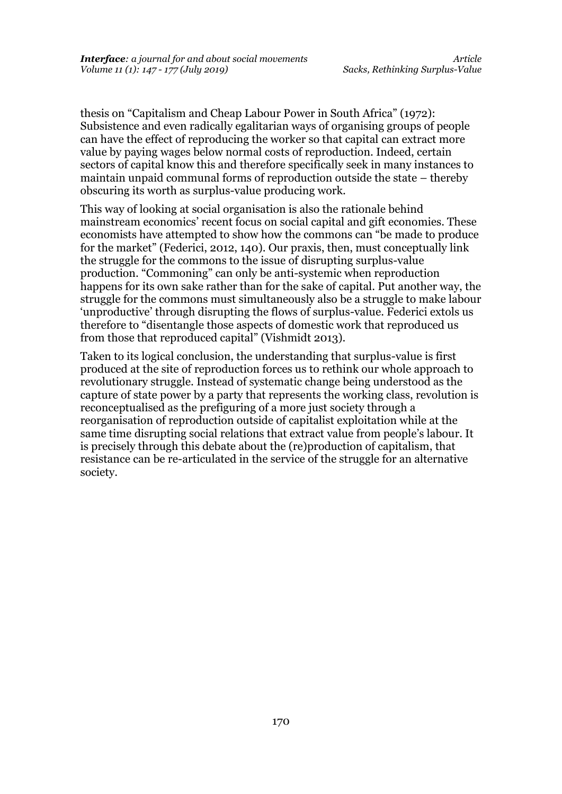thesis on "Capitalism and Cheap Labour Power in South Africa" (1972): Subsistence and even radically egalitarian ways of organising groups of people can have the effect of reproducing the worker so that capital can extract more value by paying wages below normal costs of reproduction. Indeed, certain sectors of capital know this and therefore specifically seek in many instances to maintain unpaid communal forms of reproduction outside the state – thereby obscuring its worth as surplus-value producing work.

This way of looking at social organisation is also the rationale behind mainstream economics' recent focus on social capital and gift economies. These economists have attempted to show how the commons can "be made to produce for the market" (Federici, 2012, 140). Our praxis, then, must conceptually link the struggle for the commons to the issue of disrupting surplus-value production. "Commoning" can only be anti-systemic when reproduction happens for its own sake rather than for the sake of capital. Put another way, the struggle for the commons must simultaneously also be a struggle to make labour 'unproductive' through disrupting the flows of surplus-value. Federici extols us therefore to "disentangle those aspects of domestic work that reproduced us from those that reproduced capital" (Vishmidt 2013).

Taken to its logical conclusion, the understanding that surplus-value is first produced at the site of reproduction forces us to rethink our whole approach to revolutionary struggle. Instead of systematic change being understood as the capture of state power by a party that represents the working class, revolution is reconceptualised as the prefiguring of a more just society through a reorganisation of reproduction outside of capitalist exploitation while at the same time disrupting social relations that extract value from people's labour. It is precisely through this debate about the (re)production of capitalism, that resistance can be re-articulated in the service of the struggle for an alternative society.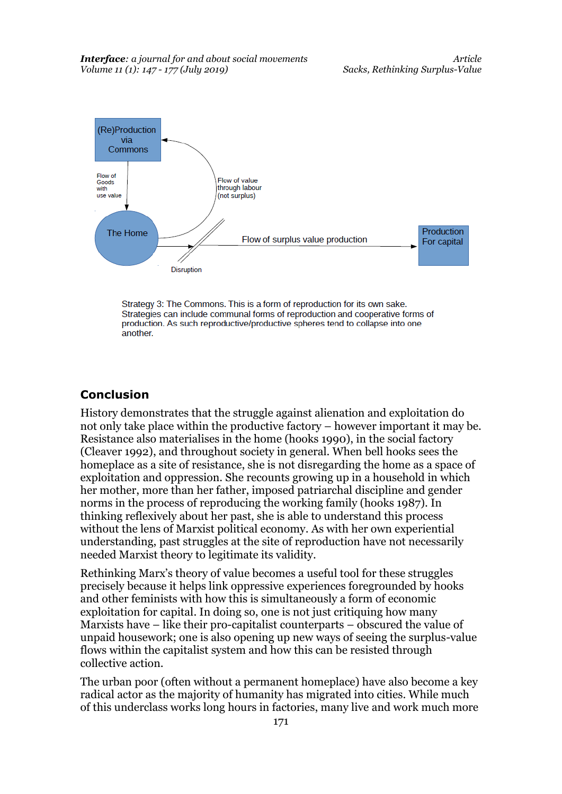

Strategy 3: The Commons. This is a form of reproduction for its own sake. Strategies can include communal forms of reproduction and cooperative forms of production. As such reproductive/productive spheres tend to collapse into one another.

## **Conclusion**

History demonstrates that the struggle against alienation and exploitation do not only take place within the productive factory – however important it may be. Resistance also materialises in the home (hooks 1990), in the social factory (Cleaver 1992), and throughout society in general. When bell hooks sees the homeplace as a site of resistance, she is not disregarding the home as a space of exploitation and oppression. She recounts growing up in a household in which her mother, more than her father, imposed patriarchal discipline and gender norms in the process of reproducing the working family (hooks 1987). In thinking reflexively about her past, she is able to understand this process without the lens of Marxist political economy. As with her own experiential understanding, past struggles at the site of reproduction have not necessarily needed Marxist theory to legitimate its validity.

Rethinking Marx's theory of value becomes a useful tool for these struggles precisely because it helps link oppressive experiences foregrounded by hooks and other feminists with how this is simultaneously a form of economic exploitation for capital. In doing so, one is not just critiquing how many Marxists have – like their pro-capitalist counterparts – obscured the value of unpaid housework; one is also opening up new ways of seeing the surplus-value flows within the capitalist system and how this can be resisted through collective action.

The urban poor (often without a permanent homeplace) have also become a key radical actor as the majority of humanity has migrated into cities. While much of this underclass works long hours in factories, many live and work much more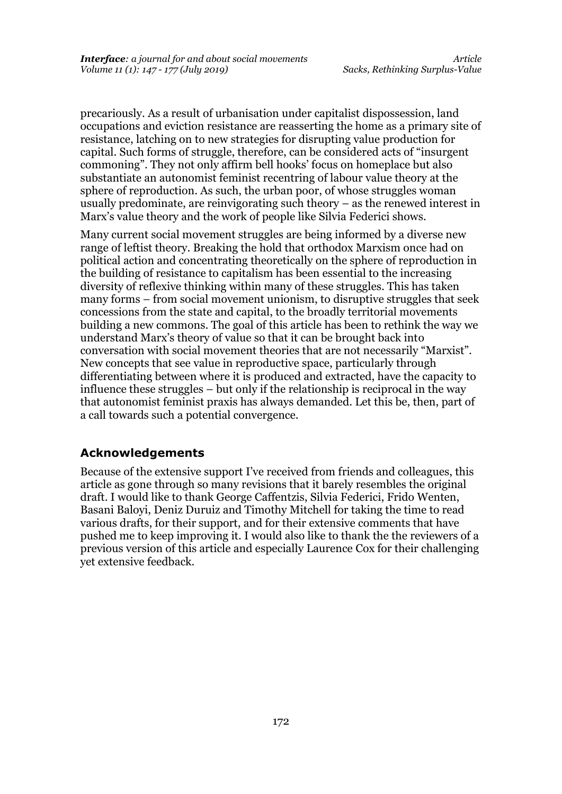precariously. As a result of urbanisation under capitalist dispossession, land occupations and eviction resistance are reasserting the home as a primary site of resistance, latching on to new strategies for disrupting value production for capital. Such forms of struggle, therefore, can be considered acts of "insurgent commoning". They not only affirm bell hooks' focus on homeplace but also substantiate an autonomist feminist recentring of labour value theory at the sphere of reproduction. As such, the urban poor, of whose struggles woman usually predominate, are reinvigorating such theory – as the renewed interest in Marx's value theory and the work of people like Silvia Federici shows.

Many current social movement struggles are being informed by a diverse new range of leftist theory. Breaking the hold that orthodox Marxism once had on political action and concentrating theoretically on the sphere of reproduction in the building of resistance to capitalism has been essential to the increasing diversity of reflexive thinking within many of these struggles. This has taken many forms – from social movement unionism, to disruptive struggles that seek concessions from the state and capital, to the broadly territorial movements building a new commons. The goal of this article has been to rethink the way we understand Marx's theory of value so that it can be brought back into conversation with social movement theories that are not necessarily "Marxist". New concepts that see value in reproductive space, particularly through differentiating between where it is produced and extracted, have the capacity to influence these struggles – but only if the relationship is reciprocal in the way that autonomist feminist praxis has always demanded. Let this be, then, part of a call towards such a potential convergence.

## **Acknowledgements**

Because of the extensive support I've received from friends and colleagues, this article as gone through so many revisions that it barely resembles the original draft. I would like to thank George Caffentzis, Silvia Federici, Frido Wenten, Basani Baloyi, Deniz Duruiz and Timothy Mitchell for taking the time to read various drafts, for their support, and for their extensive comments that have pushed me to keep improving it. I would also like to thank the the reviewers of a previous version of this article and especially Laurence Cox for their challenging yet extensive feedback.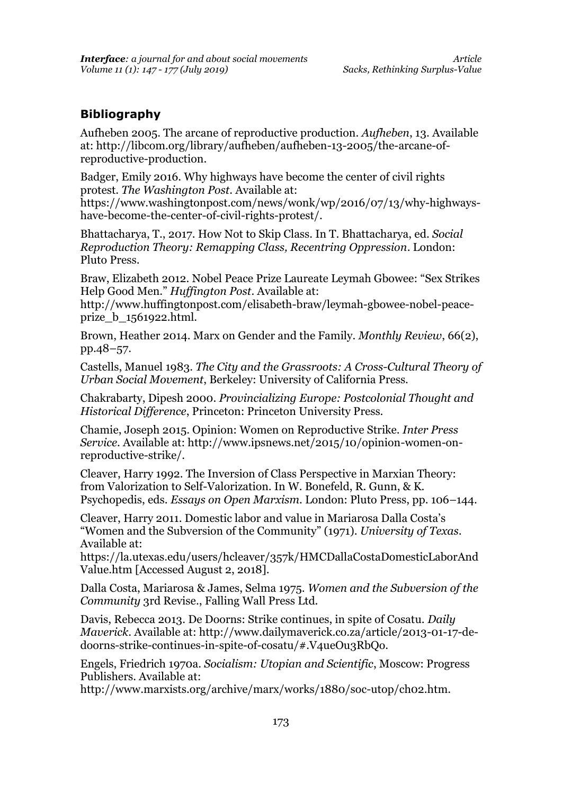# **Bibliography**

Aufheben 2005. The arcane of reproductive production. *Aufheben*, 13. Available at: http://libcom.org/library/aufheben/aufheben-13-2005/the-arcane-ofreproductive-production.

Badger, Emily 2016. Why highways have become the center of civil rights protest. *The Washington Post*. Available at:

https://www.washingtonpost.com/news/wonk/wp/2016/07/13/why-highwayshave-become-the-center-of-civil-rights-protest/.

Bhattacharya, T., 2017. How Not to Skip Class. In T. Bhattacharya, ed. *Social Reproduction Theory: Remapping Class, Recentring Oppression*. London: Pluto Press.

Braw, Elizabeth 2012. Nobel Peace Prize Laureate Leymah Gbowee: "Sex Strikes Help Good Men." *Huffington Post*. Available at:

http://www.huffingtonpost.com/elisabeth-braw/leymah-gbowee-nobel-peaceprize\_b\_1561922.html.

Brown, Heather 2014. Marx on Gender and the Family. *Monthly Review*, 66(2), pp.48–57.

Castells, Manuel 1983. *The City and the Grassroots: A Cross-Cultural Theory of Urban Social Movement*, Berkeley: University of California Press.

Chakrabarty, Dipesh 2000. *Provincializing Europe: Postcolonial Thought and Historical Difference*, Princeton: Princeton University Press.

Chamie, Joseph 2015. Opinion: Women on Reproductive Strike. *Inter Press Service*. Available at: http://www.ipsnews.net/2015/10/opinion-women-onreproductive-strike/.

Cleaver, Harry 1992. The Inversion of Class Perspective in Marxian Theory: from Valorization to Self-Valorization. In W. Bonefeld, R. Gunn, & K. Psychopedis, eds. *Essays on Open Marxism*. London: Pluto Press, pp. 106–144.

Cleaver, Harry 2011. Domestic labor and value in Mariarosa Dalla Costa's "Women and the Subversion of the Community" (1971). *University of Texas*. Available at:

https://la.utexas.edu/users/hcleaver/357k/HMCDallaCostaDomesticLaborAnd Value.htm [Accessed August 2, 2018].

Dalla Costa, Mariarosa & James, Selma 1975. *Women and the Subversion of the Community* 3rd Revise., Falling Wall Press Ltd.

Davis, Rebecca 2013. De Doorns: Strike continues, in spite of Cosatu. *Daily Maverick*. Available at: http://www.dailymaverick.co.za/article/2013-01-17-dedoorns-strike-continues-in-spite-of-cosatu/#.V4ueOu3RbQo.

Engels, Friedrich 1970a. *Socialism: Utopian and Scientific*, Moscow: Progress Publishers. Available at:

http://www.marxists.org/archive/marx/works/1880/soc-utop/ch02.htm.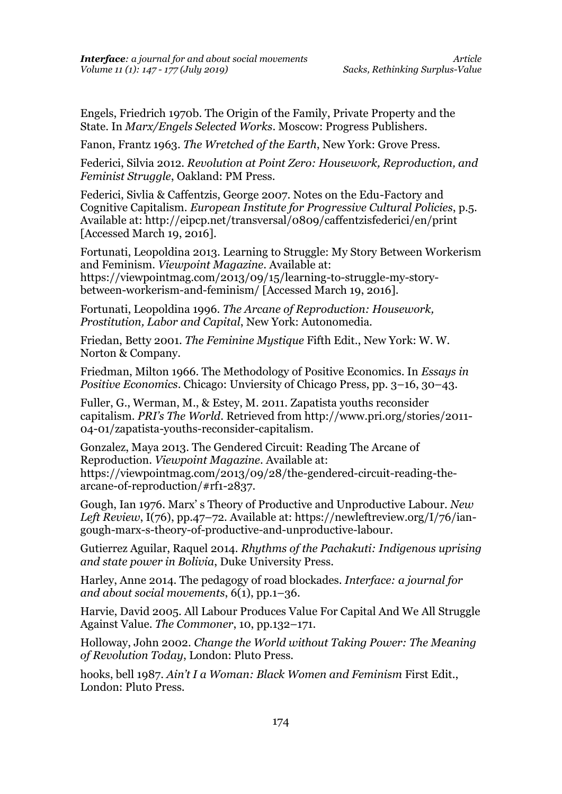Engels, Friedrich 1970b. The Origin of the Family, Private Property and the State. In *Marx/Engels Selected Works*. Moscow: Progress Publishers.

Fanon, Frantz 1963. *The Wretched of the Earth*, New York: Grove Press.

Federici, Silvia 2012. *Revolution at Point Zero: Housework, Reproduction, and Feminist Struggle*, Oakland: PM Press.

Federici, Sivlia & Caffentzis, George 2007. Notes on the Edu-Factory and Cognitive Capitalism. *European Institute for Progressive Cultural Policies*, p.5. Available at: http://eipcp.net/transversal/0809/caffentzisfederici/en/print [Accessed March 19, 2016].

Fortunati, Leopoldina 2013. Learning to Struggle: My Story Between Workerism and Feminism. *Viewpoint Magazine*. Available at: https://viewpointmag.com/2013/09/15/learning-to-struggle-my-storybetween-workerism-and-feminism/ [Accessed March 19, 2016].

Fortunati, Leopoldina 1996. *The Arcane of Reproduction: Housework, Prostitution, Labor and Capital*, New York: Autonomedia.

Friedan, Betty 2001. *The Feminine Mystique* Fifth Edit., New York: W. W. Norton & Company.

Friedman, Milton 1966. The Methodology of Positive Economics. In *Essays in Positive Economics*. Chicago: Unviersity of Chicago Press, pp. 3–16, 30–43.

Fuller, G., Werman, M., & Estey, M. 2011. Zapatista youths reconsider capitalism. *PRI's The World*. Retrieved from http://www.pri.org/stories/2011- 04-01/zapatista-youths-reconsider-capitalism.

Gonzalez, Maya 2013. The Gendered Circuit: Reading The Arcane of Reproduction. *Viewpoint Magazine*. Available at: https://viewpointmag.com/2013/09/28/the-gendered-circuit-reading-thearcane-of-reproduction/#rf1-2837.

Gough, Ian 1976. Marx' s Theory of Productive and Unproductive Labour. *New Left Review*, I(76), pp.47–72. Available at: https://newleftreview.org/I/76/iangough-marx-s-theory-of-productive-and-unproductive-labour.

Gutierrez Aguilar, Raquel 2014. *Rhythms of the Pachakuti: Indigenous uprising and state power in Bolivia*, Duke University Press.

Harley, Anne 2014. The pedagogy of road blockades. *Interface: a journal for and about social movements*, 6(1), pp.1–36.

Harvie, David 2005. All Labour Produces Value For Capital And We All Struggle Against Value. *The Commoner*, 10, pp.132–171.

Holloway, John 2002. *Change the World without Taking Power: The Meaning of Revolution Today*, London: Pluto Press.

hooks, bell 1987. *Ain't I a Woman: Black Women and Feminism* First Edit., London: Pluto Press.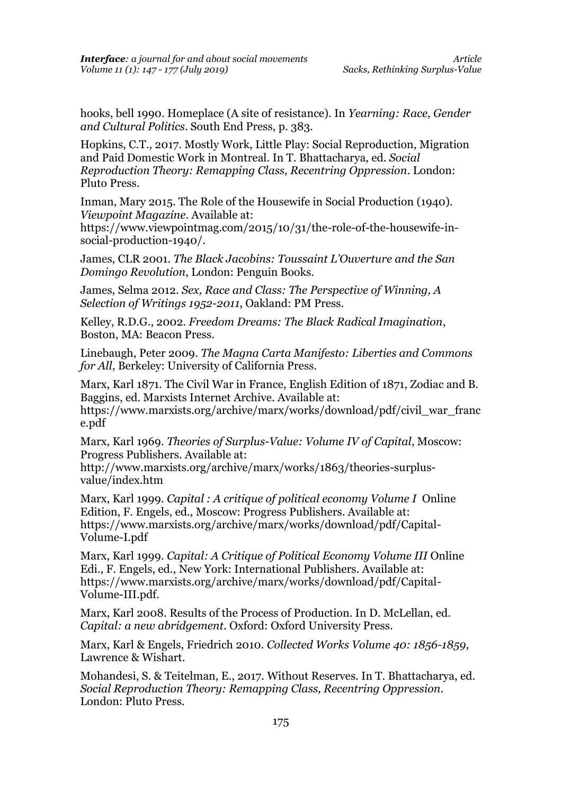hooks, bell 1990. Homeplace (A site of resistance). In *Yearning: Race, Gender and Cultural Politics*. South End Press, p. 383.

Hopkins, C.T., 2017. Mostly Work, Little Play: Social Reproduction, Migration and Paid Domestic Work in Montreal. In T. Bhattacharya, ed. *Social Reproduction Theory: Remapping Class, Recentring Oppression*. London: Pluto Press.

Inman, Mary 2015. The Role of the Housewife in Social Production (1940). *Viewpoint Magazine*. Available at:

https://www.viewpointmag.com/2015/10/31/the-role-of-the-housewife-insocial-production-1940/.

James, CLR 2001. *The Black Jacobins: Toussaint L'Ouverture and the San Domingo Revolution*, London: Penguin Books.

James, Selma 2012. *Sex, Race and Class: The Perspective of Winning, A Selection of Writings 1952-2011*, Oakland: PM Press.

Kelley, R.D.G., 2002. *Freedom Dreams: The Black Radical Imagination*, Boston, MA: Beacon Press.

Linebaugh, Peter 2009. *The Magna Carta Manifesto: Liberties and Commons for All*, Berkeley: University of California Press.

Marx, Karl 1871. The Civil War in France, English Edition of 1871, Zodiac and B. Baggins, ed. Marxists Internet Archive. Available at:

https://www.marxists.org/archive/marx/works/download/pdf/civil\_war\_franc e.pdf

Marx, Karl 1969. *Theories of Surplus-Value: Volume IV of Capital*, Moscow: Progress Publishers. Available at:

http://www.marxists.org/archive/marx/works/1863/theories-surplusvalue/index.htm

Marx, Karl 1999. *Capital : A critique of political economy Volume I* Online Edition, F. Engels, ed., Moscow: Progress Publishers. Available at: https://www.marxists.org/archive/marx/works/download/pdf/Capital-Volume-I.pdf

Marx, Karl 1999. *Capital: A Critique of Political Economy Volume III* Online Edi., F. Engels, ed., New York: International Publishers. Available at: https://www.marxists.org/archive/marx/works/download/pdf/Capital-Volume-III.pdf.

Marx, Karl 2008. Results of the Process of Production. In D. McLellan, ed. *Capital: a new abridgement*. Oxford: Oxford University Press.

Marx, Karl & Engels, Friedrich 2010. *Collected Works Volume 40: 1856-1859*, Lawrence & Wishart

Mohandesi, S. & Teitelman, E., 2017. Without Reserves. In T. Bhattacharya, ed. *Social Reproduction Theory: Remapping Class, Recentring Oppression*. London: Pluto Press.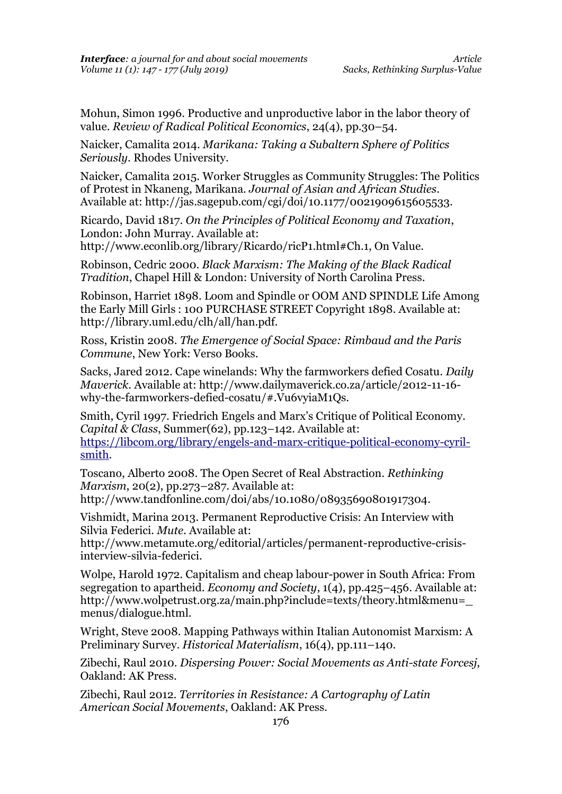Mohun, Simon 1996. Productive and unproductive labor in the labor theory of value. *Review of Radical Political Economics*, 24(4), pp.30–54.

Naicker, Camalita 2014. *Marikana: Taking a Subaltern Sphere of Politics Seriously*. Rhodes University.

Naicker, Camalita 2015. Worker Struggles as Community Struggles: The Politics of Protest in Nkaneng, Marikana. *Journal of Asian and African Studies*. Available at: http://jas.sagepub.com/cgi/doi/10.1177/0021909615605533.

Ricardo, David 1817. *On the Principles of Political Economy and Taxation*, London: John Murray. Available at: http://www.econlib.org/library/Ricardo/ricP1.html#Ch.1, On Value.

Robinson, Cedric 2000. *Black Marxism: The Making of the Black Radical Tradition*, Chapel Hill & London: University of North Carolina Press.

Robinson, Harriet 1898. Loom and Spindle or OOM AND SPINDLE Life Among the Early Mill Girls : 100 PURCHASE STREET Copyright 1898. Available at: http://library.uml.edu/clh/all/han.pdf.

Ross, Kristin 2008. *The Emergence of Social Space: Rimbaud and the Paris Commune*, New York: Verso Books.

Sacks, Jared 2012. Cape winelands: Why the farmworkers defied Cosatu. *Daily Maverick*. Available at: http://www.dailymaverick.co.za/article/2012-11-16 why-the-farmworkers-defied-cosatu/#.Vu6vyiaM1Qs.

Smith, Cyril 1997. Friedrich Engels and Marx's Critique of Political Economy. *Capital & Class*, Summer(62), pp.123–142. Available at: [https://libcom.org/library/engels-and-marx-critique-political-economy-cyril](https://libcom.org/library/engels-and-marx-critique-political-economy-cyril-smith)[smith.](https://libcom.org/library/engels-and-marx-critique-political-economy-cyril-smith)

Toscano, Alberto 2008. The Open Secret of Real Abstraction. *Rethinking Marxism*, 20(2), pp.273–287. Available at: http://www.tandfonline.com/doi/abs/10.1080/08935690801917304.

Vishmidt, Marina 2013. Permanent Reproductive Crisis: An Interview with Silvia Federici. *Mute*. Available at:

http://www.metamute.org/editorial/articles/permanent-reproductive-crisisinterview-silvia-federici.

Wolpe, Harold 1972. Capitalism and cheap labour-power in South Africa: From segregation to apartheid. *Economy and Society*, 1(4), pp.425–456. Available at: http://www.wolpetrust.org.za/main.php?include=texts/theory.html&menu=\_ menus/dialogue.html.

Wright, Steve 2008. Mapping Pathways within Italian Autonomist Marxism: A Preliminary Survey. *Historical Materialism*, 16(4), pp.111–140.

Zibechi, Raul 2010. *Dispersing Power: Social Movements as Anti-state Forcesj*, Oakland: AK Press.

Zibechi, Raul 2012. *Territories in Resistance: A Cartography of Latin American Social Movements*, Oakland: AK Press.